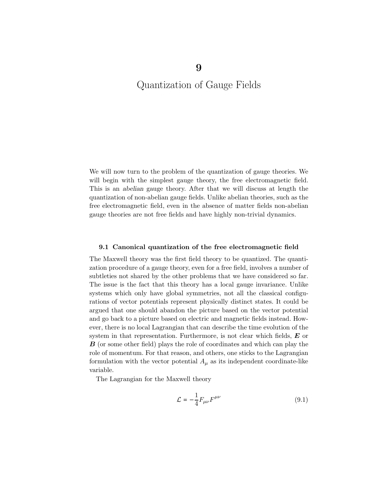We will now turn to the problem of the quantization of gauge theories. We will begin with the simplest gauge theory, the free electromagnetic field. This is an abelian gauge theory. After that we will discuss at length the quantization of non-abelian gauge fields. Unlike abelian theories, such as the free electromagnetic field, even in the absence of matter fields non-abelian gauge theories are not free fields and have highly non-trivial dynamics.

#### 9.1 Canonical quantization of the free electromagnetic field

The Maxwell theory was the first field theory to be quantized. The quantization procedure of a gauge theory, even for a free field, involves a number of subtleties not shared by the other problems that we have considered so far. The issue is the fact that this theory has a local gauge invariance. Unlike systems which only have global symmetries, not all the classical configurations of vector potentials represent physically distinct states. It could be argued that one should abandon the picture based on the vector potential and go back to a picture based on electric and magnetic fields instead. However, there is no local Lagrangian that can describe the time evolution of the system in that representation. Furthermore, is not clear which fields,  $E$  or  $\boldsymbol{B}$  (or some other field) plays the role of coordinates and which can play the role of momentum. For that reason, and others, one sticks to the Lagrangian formulation with the vector potential  $A_\mu$  as its independent coordinate-like variable.

The Lagrangian for the Maxwell theory

$$
\mathcal{L} = -\frac{1}{4} F_{\mu\nu} F^{\mu\nu} \tag{9.1}
$$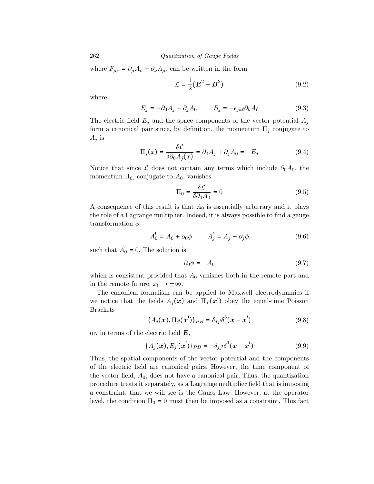where  $F_{\mu\nu} = \partial_{\mu}A_{\nu} - \partial_{\nu}A_{\mu}$ , can be written in the form

$$
\mathcal{L} = \frac{1}{2} (\boldsymbol{E}^2 - \boldsymbol{B}^2) \tag{9.2}
$$

where

$$
E_j = -\partial_0 A_j - \partial_j A_0, \qquad B_j = -\epsilon_{jk\ell} \partial_k A_\ell \tag{9.3}
$$

The electric field  $E_j$  and the space components of the vector potential  $A_j$ form a canonical pair since, by definition, the momentum  $\Pi_i$  conjugate to  $A_j$  is

$$
\Pi_j(x) = \frac{\delta \mathcal{L}}{\delta \partial_0 A_j(x)} = \partial_0 A_j + \partial_j A_0 = -E_j \tag{9.4}
$$

Notice that since  $\mathcal L$  does not contain any terms which include  $\partial_0A_0$ , the momentum  $\Pi_0$ , conjugate to  $A_0$ , vanishes

$$
\Pi_0 = \frac{\delta \mathcal{L}}{\delta \partial_0 A_0} = 0 \tag{9.5}
$$

A consequence of this result is that  $A_0$  is essentially arbitrary and it plays the role of a Lagrange multiplier. Indeed, it is always possible to find a gauge transformation  $\phi$ 

$$
A'_0 = A_0 + \partial_0 \phi \qquad A'_j = A_j - \partial_j \phi \qquad (9.6)
$$

such that  $A'_0 = 0$ . The solution is

$$
\partial_0 \phi = -A_0 \tag{9.7}
$$

which is consistent provided that  $A_0$  vanishes both in the remote part and in the remote future,  $x_0 \rightarrow \pm \infty$ .

The canonical formalism can be applied to Maxwell electrodynamics if we notice that the fields  $A_j(x)$  and  $\Pi_{j'}(x')$  obey the equal-time Poisson Brackets

$$
\{A_j(x), \Pi_{j'}(x')\}_{PB} = \delta_{jj'}\delta^3(x - x')
$$
 (9.8)

or, in terms of the electric field  $E$ ,

$$
\{A_j(\bm{x}), E_{j'}(\bm{x'})\}_{PB} = -\delta_{jj'}\delta^3(\bm{x} - \bm{x'}) \tag{9.9}
$$

Thus, the spatial components of the vector potential and the components of the electric field are canonical pairs. However, the time component of the vector field,  $A_0$ , does not have a canonical pair. Thus, the quantization procedure treats it separately, as a Lagrange multiplier field that is imposing a constraint, that we will see is the Gauss Law. However, at the operator level, the condition  $\Pi_0 = 0$  must then be imposed as a constraint. This fact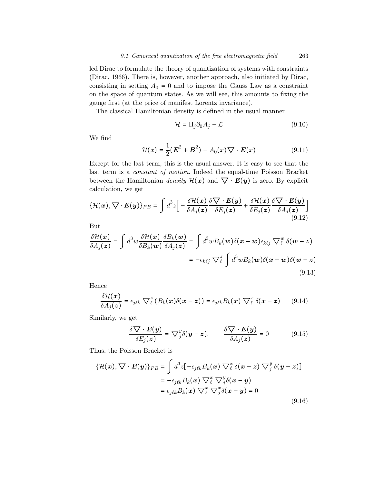led Dirac to formulate the theory of quantization of systems with constraints (Dirac, 1966). There is, however, another approach, also initiated by Dirac, consisting in setting  $A_0 = 0$  and to impose the Gauss Law as a constraint on the space of quantum states. As we will see, this amounts to fixing the gauge first (at the price of manifest Lorentz invariance).

The classical Hamiltonian density is defined in the usual manner

$$
\mathcal{H} = \Pi_j \partial_0 A_j - \mathcal{L}
$$
\n(9.10)

We find

$$
\mathcal{H}(x) = \frac{1}{2}(\boldsymbol{E}^2 + \boldsymbol{B}^2) - A_0(x)\nabla \cdot \boldsymbol{E}(x)
$$
\n(9.11)

Except for the last term, this is the usual answer. It is easy to see that the last term is a constant of motion. Indeed the equal-time Poisson Bracket between the Hamiltonian density  $\mathcal{H}(x)$  and  $\nabla \cdot E(y)$  is zero. By explicit calculation, we get

$$
\{\mathcal{H}(x), \nabla \cdot \boldsymbol{E}(y)\}_{PB} = \int d^3 z \bigg[ -\frac{\delta \mathcal{H}(x)}{\delta A_j(z)} \frac{\delta \nabla \cdot \boldsymbol{E}(y)}{\delta E_j(z)} + \frac{\delta \mathcal{H}(x)}{\delta E_j(z)} \frac{\delta \nabla \cdot \boldsymbol{E}(y)}{\delta A_j(z)} \bigg] \tag{9.12}
$$

But

$$
\frac{\delta \mathcal{H}(\boldsymbol{x})}{\delta A_j(\boldsymbol{z})} = \int d^3 w \frac{\delta \mathcal{H}(\boldsymbol{x})}{\delta B_k(\boldsymbol{w})} \frac{\delta B_k(\boldsymbol{w})}{\delta A_j(\boldsymbol{z})} = \int d^3 w B_k(\boldsymbol{w}) \delta(\boldsymbol{x} - \boldsymbol{w}) \epsilon_{k\ell j} \nabla^w_{\ell} \delta(\boldsymbol{w} - \boldsymbol{z})
$$

$$
= -\epsilon_{k\ell j} \nabla^z_{\ell} \int d^3 w B_k(\boldsymbol{w}) \delta(\boldsymbol{x} - \boldsymbol{w}) \delta(\boldsymbol{w} - \boldsymbol{z})
$$
(9.13)

Hence

$$
\frac{\delta \mathcal{H}(x)}{\delta A_j(z)} = \epsilon_{j\ell k} \nabla^z_{\ell} (B_k(x) \delta(x-z)) = \epsilon_{j\ell k} B_k(x) \nabla^x_{\ell} \delta(x-z) \qquad (9.14)
$$

Similarly, we get

$$
\frac{\delta \nabla \cdot E(\mathbf{y})}{\delta E_j(\mathbf{z})} = \nabla_j^y \delta(\mathbf{y} - \mathbf{z}), \qquad \frac{\delta \nabla \cdot E(\mathbf{y})}{\delta A_j(\mathbf{z})} = 0 \tag{9.15}
$$

Thus, the Poisson Bracket is

$$
\{\mathcal{H}(\boldsymbol{x}), \nabla \cdot \boldsymbol{E}(\boldsymbol{y})\}_{PB} = \int d^3 z \left[ -\epsilon_{j\ell k} B_k(\boldsymbol{x}) \nabla^x_{\ell} \delta(\boldsymbol{x} - \boldsymbol{z}) \nabla^y_{j} \delta(\boldsymbol{y} - \boldsymbol{z}) \right] \\
= -\epsilon_{j\ell k} B_k(\boldsymbol{x}) \nabla^x_{\ell} \nabla^y_{j} \delta(\boldsymbol{x} - \boldsymbol{y}) \\
= \epsilon_{j\ell k} B_k(\boldsymbol{x}) \nabla^x_{\ell} \nabla^x_{j} \delta(\boldsymbol{x} - \boldsymbol{y}) = 0
$$
\n(9.16)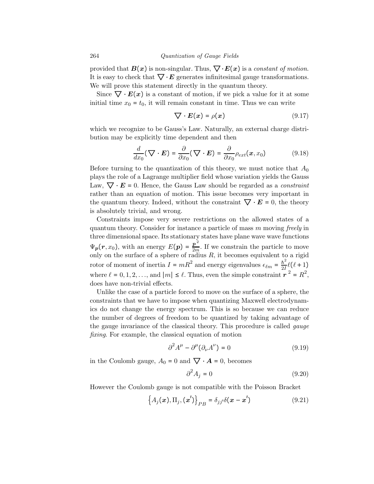provided that  $B(x)$  is non-singular. Thus,  $\nabla \cdot E(x)$  is a constant of motion. It is easy to check that  $\nabla \cdot \mathbf{E}$  generates infinitesimal gauge transformations. We will prove this statement directly in the quantum theory.

Since  $\nabla \cdot E(x)$  is a constant of motion, if we pick a value for it at some initial time  $x_0 = t_0$ , it will remain constant in time. Thus we can write

$$
\nabla \cdot \boldsymbol{E}(\boldsymbol{x}) = \rho(\boldsymbol{x}) \tag{9.17}
$$

which we recognize to be Gauss's Law. Naturally, an external charge distribution may be explicitly time dependent and then

$$
\frac{d}{dx_0}(\nabla \cdot \mathbf{E}) = \frac{\partial}{\partial x_0}(\nabla \cdot \mathbf{E}) = \frac{\partial}{\partial x_0} \rho_{ext}(\mathbf{x}, x_0)
$$
\n(9.18)

Before turning to the quantization of this theory, we must notice that  $A_0$ plays the role of a Lagrange multiplier field whose variation yields the Gauss Law,  $\nabla \cdot \mathbf{E} = 0$ . Hence, the Gauss Law should be regarded as a *constraint* rather than an equation of motion. This issue becomes very important in the quantum theory. Indeed, without the constraint  $\nabla \cdot \mathbf{E} = 0$ , the theory is absolutely trivial, and wrong.

Constraints impose very severe restrictions on the allowed states of a quantum theory. Consider for instance a particle of mass m moving freely in three dimensional space. Its stationary states have plane wave wave functions  $\Psi_p(r, x_0)$ , with an energy  $E(p) = \frac{p^2}{2m}$ . If we constrain the particle to move only on the surface of a sphere of radius  $R$ , it becomes equivalent to a rigid rotor of moment of inertia  $I = mR^2$  and energy eigenvalues  $\epsilon_{\ell m} = \frac{\hbar^2}{2I} \ell(\ell+1)$ where  $\ell = 0, 1, 2, \ldots$ , and  $|m| \leq \ell$ . Thus, even the simple constraint  $r^2 = R^2$ , does have non-trivial effects.

Unlike the case of a particle forced to move on the surface of a sphere, the constraints that we have to impose when quantizing Maxwell electrodynamics do not change the energy spectrum. This is so because we can reduce the number of degrees of freedom to be quantized by taking advantage of the gauge invariance of the classical theory. This procedure is called gauge fixing. For example, the classical equation of motion

$$
\partial^2 A^{\mu} - \partial^{\mu} (\partial_{\nu} A^{\nu}) = 0 \tag{9.19}
$$

in the Coulomb gauge,  $A_0 = 0$  and  $\nabla \cdot \mathbf{A} = 0$ , becomes

$$
\partial^2 A_j = 0 \tag{9.20}
$$

However the Coulomb gauge is not compatible with the Poisson Bracket

$$
\left\{ A_j(\boldsymbol{x}), \Pi_j, (\boldsymbol{x}') \right\}_{PB} = \delta_{jj'} \delta(\boldsymbol{x} - \boldsymbol{x}')
$$
 (9.21)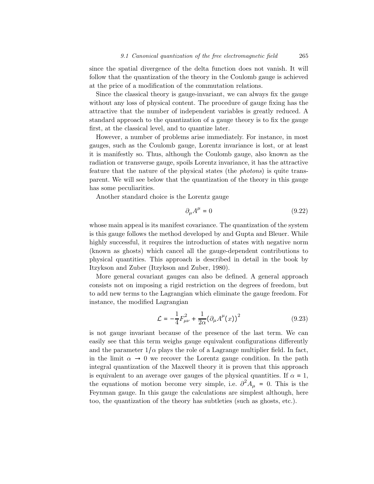since the spatial divergence of the delta function does not vanish. It will follow that the quantization of the theory in the Coulomb gauge is achieved at the price of a modification of the commutation relations.

Since the classical theory is gauge-invariant, we can always fix the gauge without any loss of physical content. The procedure of gauge fixing has the attractive that the number of independent variables is greatly reduced. A standard approach to the quantization of a gauge theory is to fix the gauge first, at the classical level, and to quantize later.

However, a number of problems arise immediately. For instance, in most gauges, such as the Coulomb gauge, Lorentz invariance is lost, or at least it is manifestly so. Thus, although the Coulomb gauge, also known as the radiation or transverse gauge, spoils Lorentz invariance, it has the attractive feature that the nature of the physical states (the photons) is quite transparent. We will see below that the quantization of the theory in this gauge has some peculiarities.

Another standard choice is the Lorentz gauge

$$
\partial_{\mu}A^{\mu} = 0 \tag{9.22}
$$

whose main appeal is its manifest covariance. The quantization of the system is this gauge follows the method developed by and Gupta and Bleuer. While highly successful, it requires the introduction of states with negative norm (known as ghosts) which cancel all the gauge-dependent contributions to physical quantities. This approach is described in detail in the book by Itzykson and Zuber (Itzykson and Zuber, 1980).

More general covariant gauges can also be defined. A general approach consists not on imposing a rigid restriction on the degrees of freedom, but to add new terms to the Lagrangian which eliminate the gauge freedom. For instance, the modified Lagrangian

$$
\mathcal{L} = -\frac{1}{4}F_{\mu\nu}^2 + \frac{1}{2\alpha}(\partial_{\mu}A^{\mu}(x))^2
$$
 (9.23)

is not gauge invariant because of the presence of the last term. We can easily see that this term weighs gauge equivalent configurations differently and the parameter  $1/\alpha$  plays the role of a Lagrange multiplier field. In fact, in the limit  $\alpha \to 0$  we recover the Lorentz gauge condition. In the path integral quantization of the Maxwell theory it is proven that this approach is equivalent to an average over gauges of the physical quantities. If  $\alpha = 1$ , the equations of motion become very simple, i.e.  $\partial^2 A_\mu = 0$ . This is the Feynman gauge. In this gauge the calculations are simplest although, here too, the quantization of the theory has subtleties (such as ghosts, etc.).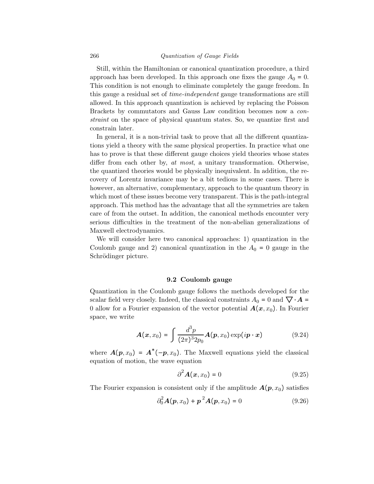Still, within the Hamiltonian or canonical quantization procedure, a third approach has been developed. In this approach one fixes the gauge  $A_0 = 0$ . This condition is not enough to eliminate completely the gauge freedom. In this gauge a residual set of time-independent gauge transformations are still allowed. In this approach quantization is achieved by replacing the Poisson Brackets by commutators and Gauss Law condition becomes now a constraint on the space of physical quantum states. So, we quantize first and constrain later.

In general, it is a non-trivial task to prove that all the different quantizations yield a theory with the same physical properties. In practice what one has to prove is that these different gauge choices yield theories whose states differ from each other by, at most, a unitary transformation. Otherwise, the quantized theories would be physically inequivalent. In addition, the recovery of Lorentz invariance may be a bit tedious in some cases. There is however, an alternative, complementary, approach to the quantum theory in which most of these issues become very transparent. This is the path-integral approach. This method has the advantage that all the symmetries are taken care of from the outset. In addition, the canonical methods encounter very serious difficulties in the treatment of the non-abelian generalizations of Maxwell electrodynamics.

We will consider here two canonical approaches: 1) quantization in the Coulomb gauge and 2) canonical quantization in the  $A_0 = 0$  gauge in the Schrödinger picture.

## 9.2 Coulomb gauge

Quantization in the Coulomb gauge follows the methods developed for the scalar field very closely. Indeed, the classical constraints  $A_0 = 0$  and  $\nabla \cdot \mathbf{A} =$ 0 allow for a Fourier expansion of the vector potential  $A(x, x_0)$ . In Fourier space, we write

$$
\boldsymbol{A}(\boldsymbol{x},x_0) = \int \frac{d^3p}{(2\pi)^3 2p_0} \boldsymbol{A}(\boldsymbol{p},x_0) \exp(i\boldsymbol{p}\cdot\boldsymbol{x}) \tag{9.24}
$$

where  $\mathbf{A}(\mathbf{p}, x_0) = \mathbf{A}^*(-\mathbf{p}, x_0)$ . The Maxwell equations yield the classical equation of motion, the wave equation

$$
\partial^2 \mathbf{A}(\mathbf{x}, x_0) = 0 \tag{9.25}
$$

The Fourier expansion is consistent only if the amplitude  $A(p, x_0)$  satisfies

$$
\partial_0^2 A(p, x_0) + p^2 A(p, x_0) = 0 \qquad (9.26)
$$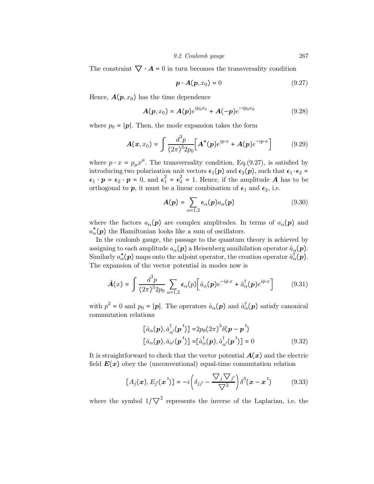The constraint  $\nabla \cdot \mathbf{A} = 0$  in turn becomes the transversality condition

$$
\boldsymbol{p} \cdot \boldsymbol{A}(\boldsymbol{p}, x_0) = 0 \tag{9.27}
$$

Hence,  $A(p, x_0)$  has the time dependence

$$
A(p, x_0) = A(p)e^{ip_0x_0} + A(-p)e^{-ip_0x_0}
$$
 (9.28)

where  $p_0 = |p|$ . Then, the mode expansion takes the form

$$
A(x, x_0) = \int \frac{d^3 p}{(2\pi)^3 2p_0} \Big[ A^*(p) e^{ip \cdot x} + A(p) e^{-ip \cdot x} \Big] \tag{9.29}
$$

where  $p \cdot x = p_{\mu} x^{\mu}$ . The transversality condition, Eq.(9.27), is satisfied by introducing two polarization unit vectors  $\epsilon_1(p)$  and  $\epsilon_2(p)$ , such that  $\epsilon_1 \cdot \epsilon_2 =$  $\epsilon_1 \cdot p = \epsilon_2 \cdot p = 0$ , and  $\epsilon_1^2 = \epsilon_2^2 = 1$ . Hence, if the amplitude A has to be orthogonal to  $p$ , it must be a linear combination of  $\epsilon_1$  and  $\epsilon_2$ , i.e.

$$
A(p) = \sum_{\alpha=1,2} \epsilon_{\alpha}(p) a_{\alpha}(p) \tag{9.30}
$$

where the factors  $a_{\alpha}(\mathbf{p})$  are complex amplitudes. In terms of  $a_{\alpha}(\mathbf{p})$  and  $a_{\alpha}^{*}(\boldsymbol{p})$  the Hamiltonian looks like a sum of oscillators.

In the coulomb gauge, the passage to the quantum theory is achieved by assigning to each amplitude  $a_{\alpha}(\boldsymbol{p})$  a Heisenberg annihilation operator  $\hat{a}_{\alpha}(\boldsymbol{p})$ . Similarly  $a^*_{\alpha}(p)$  maps onto the adjoint operator, the creation operator  $\hat{a}^{\dagger}(\boldsymbol{p})$ . The expansion of the vector potential in modes now is

$$
\hat{A}(x) = \int \frac{d^3 p}{(2\pi)^3 2p_0} \sum_{\alpha=1,2} \epsilon_{\alpha}(p) \Big[ \hat{a}_{\alpha}(p) e^{-ip \cdot x} + \hat{a}_{\alpha}^{\dagger}(p) e^{ip \cdot x} \Big] \tag{9.31}
$$

with  $p^2 = 0$  and  $p_0 = |\mathbf{p}|$ . The operators  $\hat{a}_{\alpha}(\mathbf{p})$  and  $\hat{a}_{\alpha}^{\dagger}(\mathbf{p})$  satisfy canonical commutation relations

$$
[\hat{a}_{\alpha}(\boldsymbol{p}), \hat{a}_{\alpha}^{\dagger}(\boldsymbol{p}^{\prime})] = 2p_0(2\pi)^3 \delta(\boldsymbol{p} - \boldsymbol{p}^{\prime})
$$
  
\n
$$
[\hat{a}_{\alpha}(\boldsymbol{p}), \hat{a}_{\alpha}(\boldsymbol{p}^{\prime})] = [\hat{a}_{\alpha}^{\dagger}(\boldsymbol{p}), \hat{a}_{\alpha}^{\dagger}(\boldsymbol{p}^{\prime})] = 0
$$
\n(9.32)

It is straightforward to check that the vector potential  $A(x)$  and the electric field  $E(x)$  obey the (unconventional) equal-time commutation relation

$$
[A_j(\boldsymbol{x}), E_{j'}(\boldsymbol{x}')] = -i \left( \delta_{jj'} - \frac{\nabla_j \nabla_{j'}}{\nabla^2} \right) \delta^3(\boldsymbol{x} - \boldsymbol{x}')
$$
(9.33)

where the symbol  $1/\nabla^2$  represents the inverse of the Laplacian, i.e. the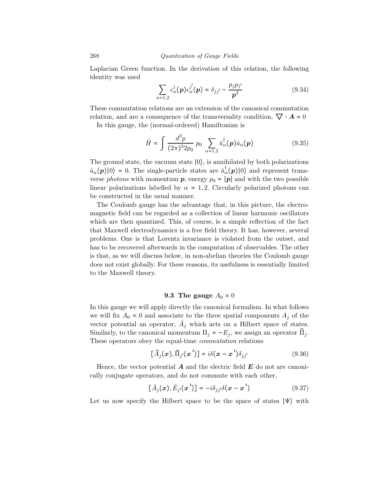Laplacian Green function. In the derivation of this relation, the following identity was used

$$
\sum_{\alpha=1,2} \epsilon_{\alpha}^{j}(\boldsymbol{p}) \epsilon_{\alpha}^{j'}(\boldsymbol{p}) = \delta_{jj'} - \frac{p_{j}p_{j'}}{\boldsymbol{p}^{2}}
$$
(9.34)

These commutation relations are an extension of the canonical commutation relation, and are a consequence of the transversality condition,  $\nabla \cdot \mathbf{A} = 0$ 

In this gauge, the (normal-ordered) Hamiltonian is

$$
\hat{H} = \int \frac{d^3 p}{(2\pi)^3 2p_0} \, p_0 \, \sum_{\alpha=1,2} \hat{a}_{\alpha}^{\dagger}(\mathbf{p}) \hat{a}_{\alpha}(\mathbf{p}) \tag{9.35}
$$

The ground state, the vacuum state  $|0\rangle$ , is annihilated by both polarizations  $\hat{a}_{\alpha}(p)|0\rangle = 0$ . The single-particle states are  $\hat{a}_{\alpha}(p)|0\rangle$  and represent transverse *photons* with momentum **p**, energy  $p_0 = |\mathbf{p}|$  and with the two possible linear polarizations labelled by  $\alpha = 1, 2$ . Circularly polarized photons can be constructed in the usual manner.

The Coulomb gauge has the advantage that, in this picture, the electromagnetic field can be regarded as a collection of linear harmonic oscillators which are then quantized. This, of course, is a simple reflection of the fact that Maxwell electrodynamics is a free field theory. It has, however, several problems. One is that Lorentz invariance is violated from the outset, and has to be recovered afterwards in the computation of observables. The other is that, as we will discuss below, in non-abelian theories the Coulomb gauge does not exist globally. For these reasons, its usefulness is essentially limited to the Maxwell theory.

# 9.3 The gauge  $A_0 = 0$

In this gauge we will apply directly the canonical formalism. In what follows we will fix  $A_0 = 0$  and associate to the three spatial components  $A_i$  of the vector potential an operator,  $A_j$  which acts on a Hilbert space of states. Similarly, to the canonical momentum  $\Pi_i = -E_i$ , we assign an operator  $\Pi_i$ . These operators obey the equal-time commutation relations

$$
[\hat{A}_j(x), \hat{\Pi}_{j'}(x')] = i\delta(x - x')\delta_{jj'} \qquad (9.36)
$$

Hence, the vector potential  $\bf{A}$  and the electric field  $\bf{E}$  do not are canonically conjugate operators, and do not commute with each other,

$$
[\hat{A}_j(\boldsymbol{x}), \hat{E}_{j'}(\boldsymbol{x}')] = -i\delta_{jj'}\delta(\boldsymbol{x} - \boldsymbol{x}') \qquad (9.37)
$$

Let us now specify the Hilbert space to be the space of states  $|\Psi\rangle$  with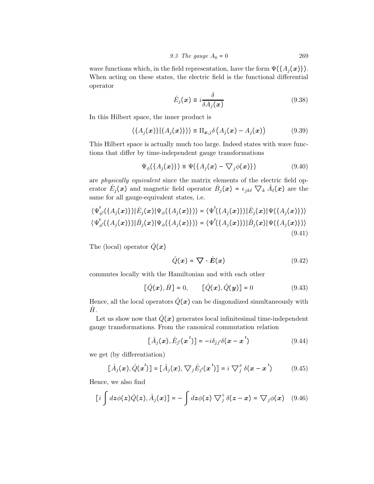9.3 The gauge 
$$
A_0 = 0
$$
 269

wave functions which, in the field representation, have the form  $\Psi(\{A_i(\boldsymbol{x})\})$ . When acting on these states, the electric field is the functional differential operator

$$
\hat{E}_j(x) \equiv i \frac{\delta}{\delta A_j(x)} \tag{9.38}
$$

In this Hilbert space, the inner product is

$$
\langle \{A_j(\boldsymbol{x})\} | \{A_j(\boldsymbol{x})\} \rangle \rangle \equiv \Pi_{\boldsymbol{x},j} \delta \left(A_j(\boldsymbol{x}) - A_j(\boldsymbol{x})\right) \tag{9.39}
$$

This Hilbert space is actually much too large. Indeed states with wave functions that differ by time-independent gauge transformations

$$
\Psi_{\phi}(\{A_j(\boldsymbol{x})\}) \equiv \Psi(\{A_j(\boldsymbol{x}) - \nabla_j \phi(\boldsymbol{x})\}) \tag{9.40}
$$

are physically equivalent since the matrix elements of the electric field operator  $\hat{E}_j(x)$  and magnetic field operator  $\hat{B}_j(x) = \epsilon_{jk\ell} \nabla_k \hat{A}_\ell(x)$  are the same for all gauge-equivalent states, i.e.

$$
\langle \Psi'_{\phi'}(\lbrace A_j(\boldsymbol{x}) \rbrace)|\hat{E}_j(\boldsymbol{x})|\Psi_{\phi}(\lbrace A_j(\boldsymbol{x}) \rbrace)\rangle = \langle \Psi'(\lbrace A_j(\boldsymbol{x}) \rbrace)|\hat{E}_j(\boldsymbol{x})|\Psi(\lbrace A_j(\boldsymbol{x}) \rbrace)\rangle
$$
  

$$
\langle \Psi'_{\phi'}(\lbrace A_j(\boldsymbol{x}) \rbrace)|\hat{B}_j(\boldsymbol{x})|\Psi_{\phi}(\lbrace A_j(\boldsymbol{x}) \rbrace)\rangle = \langle \Psi'(\lbrace A_j(\boldsymbol{x}) \rbrace)|\hat{B}_j(\boldsymbol{x})|\Psi(\lbrace A_j(\boldsymbol{x}) \rbrace)\rangle
$$
\n(9.41)

The (local) operator  $\hat{Q}(x)$ 

$$
\hat{Q}(x) = \nabla \cdot \hat{E}(x) \tag{9.42}
$$

commutes locally with the Hamiltonian and with each other

$$
[\hat{Q}(\bm{x}), \hat{H}] = 0, \qquad [\hat{Q}(\bm{x}), \hat{Q}(\bm{y})] = 0 \tag{9.43}
$$

Hence, all the local operators  $\hat{Q}(x)$  can be diagonalized simultaneously with  $H_{\cdot}$ 

Let us show now that  $\hat{Q}(x)$  generates local infinitesimal time-independent gauge transformations. From the canonical commutation relation

$$
[\hat{A}_j(\boldsymbol{x}), \hat{E}_{j'}(\boldsymbol{x}')] = -i\delta_{jj'}\delta(\boldsymbol{x} - \boldsymbol{x}') \qquad (9.44)
$$

we get (by differentiation)

$$
[\hat{A}_j(\boldsymbol{x}), \hat{Q}(\boldsymbol{x}')] = [\hat{A}_j(\boldsymbol{x}), \nabla_j \hat{E}_{j'}(\boldsymbol{x}')] = i \nabla_j^x \delta(\boldsymbol{x} - \boldsymbol{x}') \qquad (9.45)
$$

Hence, we also find

$$
[i\int dz\phi(z)\hat{Q}(z),\hat{A}_j(x)]=- \int dz\phi(z)\nabla_j^z\delta(z-x)=\nabla_j\phi(x)\quad (9.46)
$$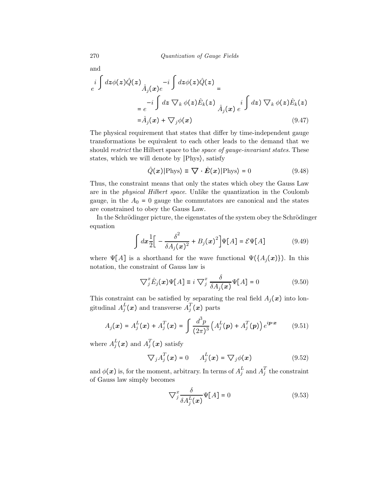and

$$
e^{i \int dz \phi(z) \hat{Q}(z)} \hat{A}_{j}(x) e^{-i \int dz \phi(z) \hat{Q}(z)} =
$$
  
\n
$$
= e^{-i \int dz \nabla_{k} \phi(z) \hat{E}_{k}(z)} \hat{A}_{j}(x) e^{i \int dz \nabla_{k} \phi(z) \hat{E}_{k}(z)}
$$
  
\n
$$
= \hat{A}_{j}(x) + \nabla_{j} \phi(x) \qquad (9.47)
$$

The physical requirement that states that differ by time-independent gauge transformations be equivalent to each other leads to the demand that we should *restrict* the Hilbert space to the *space of gauge-invariant states*. These states, which we will denote by ∣Phys⟩, satisfy

$$
\hat{Q}(\boldsymbol{x})|\text{Phys}\rangle \equiv \nabla \cdot \hat{E}(\boldsymbol{x})|\text{Phys}\rangle = 0
$$
\n(9.48)

Thus, the constraint means that only the states which obey the Gauss Law are in the physical Hilbert space. Unlike the quantization in the Coulomb gauge, in the  $A_0 = 0$  gauge the commutators are canonical and the states are constrained to obey the Gauss Law.

In the Schrödinger picture, the eigenstates of the system obey the Schrödinger equation

$$
\int dx \frac{1}{2} \Big[ -\frac{\delta^2}{\delta A_j(x)^2} + B_j(x)^2 \Big] \Psi[A] = \mathcal{E}\Psi[A] \tag{9.49}
$$

where  $\Psi[A]$  is a shorthand for the wave functional  $\Psi(\{A_j(x)\})$ . In this notation, the constraint of Gauss law is

$$
\nabla_j^x \hat{E}_j(x)\Psi[A] \equiv i \nabla_j^x \frac{\delta}{\delta A_j(x)} \Psi[A] = 0 \tag{9.50}
$$

This constraint can be satisfied by separating the real field  $A_j(x)$  into longitudinal  $A_j^L(\boldsymbol{x})$  and transverse  $A_j^T(\boldsymbol{x})$  parts

$$
A_j(\boldsymbol{x}) = A_j^L(\boldsymbol{x}) + A_j^T(\boldsymbol{x}) = \int \frac{d^3p}{(2\pi)^3} \left( A_j^L(\boldsymbol{p}) + A_j^T(\boldsymbol{p}) \right) e^{i\boldsymbol{p}\cdot\boldsymbol{x}} \qquad (9.51)
$$

where  $A_j^L(\boldsymbol{x})$  and  $A_j^T(\boldsymbol{x})$  satisfy

$$
\nabla_j A_j^T(\boldsymbol{x}) = 0 \qquad A_j^L(\boldsymbol{x}) = \nabla_j \phi(\boldsymbol{x}) \tag{9.52}
$$

and  $\phi(\boldsymbol{x})$  is, for the moment, arbitrary. In terms of  $A_j^L$  and  $A_j^T$  the constraint of Gauss law simply becomes

$$
\nabla_j^x \frac{\delta}{\delta A_j^L(\boldsymbol{x})} \Psi[A] = 0 \tag{9.53}
$$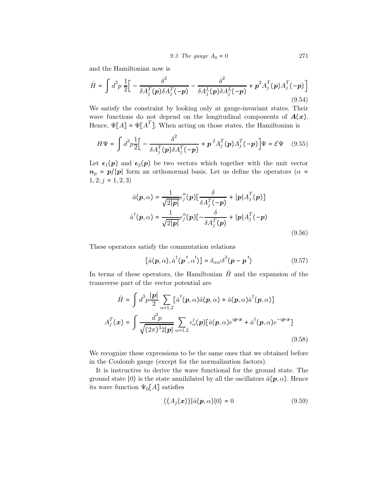9.3 The gauge 
$$
A_0 = 0
$$
 271

and the Hamiltonian now is

$$
\hat{H} = \int d^3p \frac{1}{2} \Big[ -\frac{\delta^2}{\delta A_j^T(\boldsymbol{p}) \delta A_j^T(-\boldsymbol{p})} - \frac{\delta^2}{\delta A_j^L(\boldsymbol{p}) \delta A_j^L(-\boldsymbol{p})} + \boldsymbol{p}^2 A_j^T(\boldsymbol{p}) A_j^T(-\boldsymbol{p}) \Big]
$$
\n(9.54)

We satisfy the constraint by looking only at gauge-invariant states. Their wave functions do not depend on the longitudinal components of  $A(x)$ . Hence,  $\Psi[A] = \Psi[A^T]$ . When acting on those states, the Hamiltonian is

$$
H\Psi = \int d^3p \frac{1}{2} \Big[ -\frac{\delta^2}{\delta A_j^T(\boldsymbol{p}) \delta A_j^T(-\boldsymbol{p})} + \boldsymbol{p}^2 A_j^T(\boldsymbol{p}) A_j^T(-\boldsymbol{p}) \Big] \Psi = \mathcal{E}\Psi \quad (9.55)
$$

Let  $\epsilon_1(p)$  and  $\epsilon_2(p)$  be two vectors which together with the unit vector  $n_p = p/|p|$  form an orthonormal basis. Let us define the operators ( $\alpha$  =  $1, 2; j = 1, 2, 3$ 

$$
\hat{a}(\boldsymbol{p}, \alpha) = \frac{1}{\sqrt{2|\boldsymbol{p}|}} \epsilon_j^{\alpha}(\boldsymbol{p}) \left[ \frac{\delta}{\delta A_j^T(-\boldsymbol{p})} + |\boldsymbol{p}| A_j^T(\boldsymbol{p}) \right]
$$

$$
\hat{a}^\dagger(\boldsymbol{p}, \alpha) = \frac{1}{\sqrt{2|\boldsymbol{p}|}} \epsilon_j^{\alpha}(\boldsymbol{p}) \left[ -\frac{\delta}{\delta A_j^T(\boldsymbol{p})} + |\boldsymbol{p}| A_j^T(-\boldsymbol{p}) \right]
$$
(9.56)

These operators satisfy the commutation relations

$$
[\hat{a}(\boldsymbol{p}, \alpha), \hat{a}^{\dagger}(\boldsymbol{p}', \alpha')] = \delta_{\alpha \alpha'} \delta^{3}(\boldsymbol{p} - \boldsymbol{p}')
$$
\n(9.57)

In terms of these operators, the Hamiltonian  $\hat{H}$  and the expansion of the transverse part of the vector potential are

$$
\hat{H} = \int d^3 p \frac{|\mathbf{p}|}{2} \sum_{\alpha=1,2} [\hat{a}^\dagger(\mathbf{p}, \alpha) \hat{a}(\mathbf{p}, \alpha) + \hat{a}(\mathbf{p}, \alpha) \hat{a}^\dagger(\mathbf{p}, \alpha)]
$$

$$
A_j^T(\mathbf{x}) = \int \frac{d^3 p}{\sqrt{(2\pi)^3 2|\mathbf{p}|}} \sum_{\alpha=1,2} \epsilon_\alpha^j(\mathbf{p}) [\hat{a}(\mathbf{p}, \alpha) e^{i\mathbf{p}\cdot\mathbf{x}} + \hat{a}^\dagger(\mathbf{p}, \alpha) e^{-i\mathbf{p}\cdot\mathbf{x}}]
$$
(9.58)

We recognize these expressions to be the same ones that we obtained before in the Coulomb gauge (except for the normalization factors).

It is instructive to derive the wave functional for the ground state. The ground state  $|0\rangle$  is the state annihilated by all the oscillators  $\hat{a}(\mathbf{p},\alpha)$ . Hence its wave function  $\Psi_0[A]$  satisfies

$$
\langle \{A_j(x)\}|\hat{a}(p,\alpha)|0\rangle = 0 \tag{9.59}
$$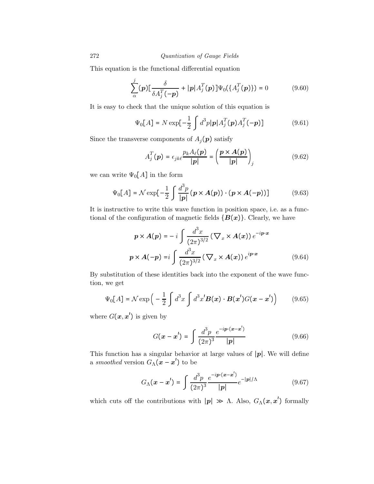This equation is the functional differential equation

$$
\sum_{\alpha}^{j} (p) \left[ \frac{\delta}{\delta A_j^T(-p)} + |p| A_j^T(p) \right] \Psi_0(\{A_j^T(p)\}) = 0 \tag{9.60}
$$

It is easy to check that the unique solution of this equation is

$$
\Psi_0[A] = N \exp[-\frac{1}{2} \int d^3 p |p| A_j^T(p) A_j^T(-p)] \tag{9.61}
$$

Since the transverse components of  $A_j(p)$  satisfy

$$
A_j^T(\boldsymbol{p}) = \epsilon_{jk\ell} \frac{p_k A_\ell(\boldsymbol{p})}{|\boldsymbol{p}|} = \left(\frac{\boldsymbol{p} \times \boldsymbol{A}(\boldsymbol{p})}{|\boldsymbol{p}|}\right)_j \tag{9.62}
$$

we can write  $\Psi_0[A]$  in the form

$$
\Psi_0[A] = \mathcal{N} \exp\left[-\frac{1}{2} \int \frac{d^3 p}{|\mathbf{p}|} \left(\mathbf{p} \times \mathbf{A}(\mathbf{p})\right) \cdot \left(\mathbf{p} \times \mathbf{A}(-\mathbf{p})\right)\right]
$$
(9.63)

It is instructive to write this wave function in position space, i.e. as a functional of the configuration of magnetic fields  ${B(x)}$ . Clearly, we have

$$
p \times A(p) = -i \int \frac{d^3x}{(2\pi)^{3/2}} (\nabla_x \times A(x)) e^{-ip \cdot x}
$$
  

$$
p \times A(-p) = i \int \frac{d^3x}{(2\pi)^{3/2}} (\nabla_x \times A(x)) e^{ip \cdot x}
$$
(9.64)

By substitution of these identities back into the exponent of the wave function, we get

$$
\Psi_0[A] = \mathcal{N} \exp\left(-\frac{1}{2} \int d^3x \int d^3x' \mathbf{B}(\mathbf{x}) \cdot \mathbf{B}(\mathbf{x'}) G(\mathbf{x} - \mathbf{x'})\right) \tag{9.65}
$$

where  $G(\boldsymbol{x}, \boldsymbol{x}')$  is given by

$$
G(\mathbf{x} - \mathbf{x}') = \int \frac{d^3 p}{(2\pi)^3} \frac{e^{-i\mathbf{p} \cdot (\mathbf{x} - \mathbf{x}')}}{|\mathbf{p}|}
$$
(9.66)

This function has a singular behavior at large values of  $|p|$ . We will define a smoothed version  $G_{\Lambda}(\mathbf{x} - \mathbf{x}')$  to be

$$
G_{\Lambda}(\mathbf{x} - \mathbf{x}') = \int \frac{d^3 p}{(2\pi)^3} \frac{e^{-i\mathbf{p} \cdot (\mathbf{x} - \mathbf{x}')} }{|\mathbf{p}|} e^{-|\mathbf{p}|/\Lambda}
$$
(9.67)

which cuts off the contributions with  $|p| \gg \Lambda$ . Also,  $G_{\Lambda}(x, x')$  formally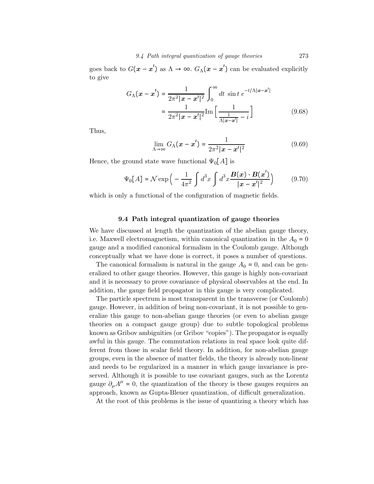goes back to  $G(\mathbf{x} - \mathbf{x}')$  as  $\Lambda \to \infty$ .  $G_{\Lambda}(\mathbf{x} - \mathbf{x}')$  can be evaluated explicitly to give

$$
G_{\Lambda}(\mathbf{x} - \mathbf{x}') = \frac{1}{2\pi^2 |\mathbf{x} - \mathbf{x}'|^2} \int_0^{\infty} dt \sin t \, e^{-t/\Lambda |\mathbf{x} - \mathbf{x}'|}
$$

$$
= \frac{1}{2\pi^2 |\mathbf{x} - \mathbf{x}'|^2} \text{Im} \left[ \frac{1}{\frac{1}{\Lambda |\mathbf{x} - \mathbf{x}'|} - i} \right] \tag{9.68}
$$

Thus,

$$
\lim_{\Lambda \to \infty} G_{\Lambda}(\boldsymbol{x} - \boldsymbol{x}') = \frac{1}{2\pi^2 |\boldsymbol{x} - \boldsymbol{x}'|^2}
$$
(9.69)

Hence, the ground state wave functional  $\Psi_0[A]$  is

$$
\Psi_0[A] = \mathcal{N} \exp\left(-\frac{1}{4\pi^2} \int d^3x \int d^3x \frac{\mathbf{B}(\mathbf{x}) \cdot \mathbf{B}(\mathbf{x}')}{|\mathbf{x} - \mathbf{x}'|^2}\right) \tag{9.70}
$$

which is only a functional of the configuration of magnetic fields.

## 9.4 Path integral quantization of gauge theories

We have discussed at length the quantization of the abelian gauge theory, i.e. Maxwell electromagnetism, within canonical quantization in the  $A_0 = 0$ gauge and a modified canonical formalism in the Coulomb gauge. Although conceptually what we have done is correct, it poses a number of questions.

The canonical formalism is natural in the gauge  $A_0 = 0$ , and can be generalized to other gauge theories. However, this gauge is highly non-covariant and it is necessary to prove covariance of physical observables at the end. In addition, the gauge field propagator in this gauge is very complicated.

The particle spectrum is most transparent in the transverse (or Coulomb) gauge. However, in addition of being non-covariant, it is not possible to generalize this gauge to non-abelian gauge theories (or even to abelian gauge theories on a compact gauge group) due to subtle topological problems known as Gribov ambiguities (or Gribov "copies"). The propagator is equally awful in this gauge. The commutation relations in real space look quite different from those in scalar field theory. In addition, for non-abelian gauge groups, even in the absence of matter fields, the theory is already non-linear and needs to be regularized in a manner in which gauge invariance is preserved. Although it is possible to use covariant gauges, such as the Lorentz gauge  $\partial_{\mu}A^{\mu} = 0$ , the quantization of the theory is these gauges requires an approach, known as Gupta-Bleuer quantization, of difficult generalization.

At the root of this problems is the issue of quantizing a theory which has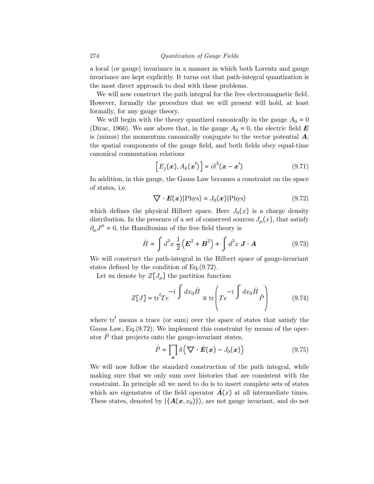a local (or gauge) invariance in a manner in which both Lorentz and gauge invariance are kept explicitly. It turns out that path-integral quantization is the most direct approach to deal with these problems.

We will now construct the path integral for the free electromagnetic field. However, formally the procedure that we will present will hold, at least formally, for any gauge theory.

We will begin with the theory quantized canonically in the gauge  $A_0 = 0$ (Dirac, 1966). We saw above that, in the gauge  $A_0 = 0$ , the electric field **E** is (minus) the momentum canonically conjugate to the vector potential  $\boldsymbol{A}$ , the spatial components of the gauge field, and both fields obey equal-time canonical commutation relations

$$
[E_j(\boldsymbol{x}), A_k(\boldsymbol{x}')] = i\delta^3(\boldsymbol{x} - \boldsymbol{x}')
$$
 (9.71)

In addition, in this gauge, the Gauss Law becomes a constraint on the space of states, i.e.

$$
\nabla \cdot E(x)|\text{Phys}\rangle = J_0(x)|\text{Phys}\rangle \tag{9.72}
$$

which defines the physical Hilbert space. Here  $J_0(x)$  is a charge density distribution. In the presence of a set of conserved sources  $J_{\mu}(x)$ , that satisfy  $\partial_{\mu}J^{\mu} = 0$ , the Hamiltonian of the free field theory is

$$
\hat{H} = \int d^3x \, \frac{1}{2} \left( \boldsymbol{E}^2 + \boldsymbol{B}^2 \right) + \int d^3x \, \boldsymbol{J} \cdot \boldsymbol{A} \tag{9.73}
$$

We will construct the path-integral in the Hilbert space of gauge-invariant states defined by the condition of Eq.(9.72).

Let su denote by  $Z[J_\mu]$  the partition function

$$
Z[J] = \text{tr}'Te^{-i\int dx_0\hat{H}} \equiv \text{tr}\left(Te^{-i\int dx_0\hat{H}}\hat{P}\right)
$$
(9.74)

where  $tr'$  means a trace (or sum) over the space of states that satisfy the Gauss Law, Eq.(9.72). We implement this constraint by means of the operator  $\hat{P}$  that projects onto the gauge-invariant states,

$$
\hat{P} = \prod_{x} \delta\left(\nabla \cdot \hat{E}(x) - J_0(x)\right) \tag{9.75}
$$

We will now follow the standard construction of the path integral, while making sure that we only sum over histories that are consistent with the constraint. In principle all we need to do is to insert complete sets of states which are eigenstates of the field operator  $\hat{A}(x)$  at all intermediate times. These states, denoted by  $\{A(x, x_0)\}\$ , are not gauge invariant, and do not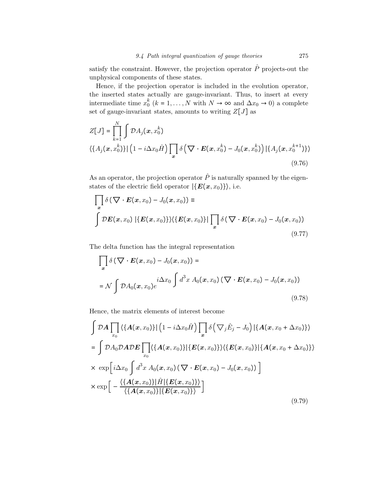satisfy the constraint. However, the projection operator  $\hat{P}$  projects-out the unphysical components of these states.

Hence, if the projection operator is included in the evolution operator, the inserted states actually are gauge-invariant. Thus, to insert at every intermediate time  $x_0^k$  ( $k = 1, ..., N$  with  $N \to \infty$  and  $\Delta x_0 \to 0$ ) a complete set of gauge-invariant states, amounts to writing  $Z[J]$  as

$$
Z[J] = \prod_{k=1}^{N} \int \mathcal{D}A_{j}(\mathbf{x}, x_{0}^{k})
$$
  

$$
\langle \{A_{j}(\mathbf{x}, x_{0}^{k})\} | (1 - i\Delta x_{0} \hat{H}) \prod_{\mathbf{x}} \delta (\nabla \cdot \mathbf{E}(\mathbf{x}, x_{0}^{k}) - J_{0}(\mathbf{x}, x_{0}^{k}) ) | \{A_{j}(\mathbf{x}, x_{0}^{k+1})\} \rangle
$$
  
(9.76)

As an operator, the projection operator  $\hat{P}$  is naturally spanned by the eigenstates of the electric field operator  $|\{E(x, x_0)\}\rangle$ , i.e.

$$
\prod_{x} \delta\left(\nabla \cdot \boldsymbol{E}(\boldsymbol{x}, x_{0}) - J_{0}(\boldsymbol{x}, x_{0})\right) \equiv
$$
\n
$$
\int \mathcal{D}\boldsymbol{E}(\boldsymbol{x}, x_{0}) \left|\left\{\boldsymbol{E}(\boldsymbol{x}, x_{0})\right\}\right\rangle \left\langle \left\{\boldsymbol{E}(\boldsymbol{x}, x_{0})\right\}\right| \prod_{x} \delta\left(\nabla \cdot \boldsymbol{E}(\boldsymbol{x}, x_{0}) - J_{0}(\boldsymbol{x}, x_{0})\right) \tag{9.77}
$$

The delta function has the integral representation

$$
\prod_{\boldsymbol{x}} \delta\left(\nabla \cdot \boldsymbol{E}(\boldsymbol{x}, x_0) - J_0(\boldsymbol{x}, x_0)\right) =
$$
\n
$$
= \mathcal{N} \int \mathcal{D}A_0(\boldsymbol{x}, x_0) e^{i\Delta x_0} \int d^3 x \, A_0(\boldsymbol{x}, x_0) \left(\nabla \cdot \boldsymbol{E}(\boldsymbol{x}, x_0) - J_0(\boldsymbol{x}, x_0)\right)
$$
\n(9.78)

Hence, the matrix elements of interest become

$$
\int \mathcal{D}A \prod_{x_0} \left\langle \{A(x, x_0)\} \right| \left(1 - i\Delta x_0 \hat{H}\right) \prod_x \delta\left(\nabla_j \hat{E}_j - J_0\right) \left|\{A(x, x_0 + \Delta x_0)\}\right\rangle
$$
\n
$$
= \int \mathcal{D}A_0 \mathcal{D}A \mathcal{D}E \prod_{x_0} \left\langle \{A(x, x_0)\} \left|\{E(x, x_0)\}\right\rangle \left\langle \{E(x, x_0)\}\right|\{A(x, x_0 + \Delta x_0)\}\right\rangle
$$
\n
$$
\times \exp\left[i\Delta x_0 \int d^3 x A_0(x, x_0) \left(\nabla \cdot E(x, x_0) - J_0(x, x_0)\right)\right]
$$
\n
$$
\times \exp\left[-\frac{\left\langle \{A(x, x_0)\}\right|\hat{H}\left|\{E(x, x_0)\}\right\rangle}{\left\langle \{A(x, x_0)\}\right|\{E(x, x_0)\}\right\rangle}\right]
$$
\n(9.79)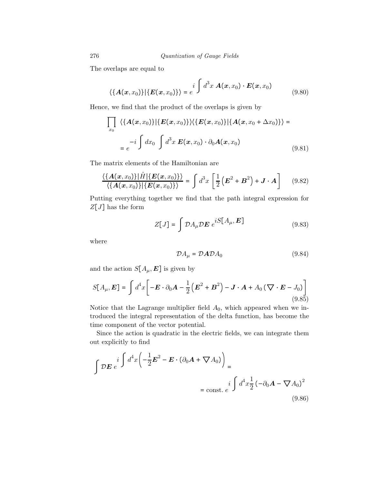The overlaps are equal to

$$
\langle \{A(x, x_0)\}\,|\{E(x, x_0)\}\rangle = e^{i \int d^3x \, A(x, x_0) \cdot E(x, x_0)}
$$
\n(9.80)

Hence, we find that the product of the overlaps is given by

$$
\prod_{x_0} \langle \{A(x, x_0)\} | \{E(x, x_0)\} \rangle \langle \{E(x, x_0)\} | \{A(x, x_0 + \Delta x_0)\} \rangle =
$$
\n
$$
= e^{-i \int dx_0 \int d^3 x \, E(x, x_0) \cdot \partial_0 A(x, x_0)} \tag{9.81}
$$

The matrix elements of the Hamiltonian are

$$
\frac{\langle \{A(x,x_0)\}|\hat{H}|\{E(x,x_0)\}\rangle}{\langle \{A(x,x_0)\}| \{E(x,x_0)\}\rangle} = \int d^3x \left[\frac{1}{2}\left(E^2 + B^2\right) + \mathbf{J} \cdot \mathbf{A}\right]
$$
(9.82)

Putting everything together we find that the path integral expression for  $Z[J]$  has the form

$$
Z[J] = \int \mathcal{D}A_{\mu} \mathcal{D}E \ e^{iS[A_{\mu}, E]} \tag{9.83}
$$

where

$$
\mathcal{D}A_{\mu} = \mathcal{D}A\mathcal{D}A_0 \tag{9.84}
$$

and the action  $S[A_\mu, E]$  is given by

$$
S[A_{\mu}, \mathbf{E}] = \int d^4x \bigg[ -\mathbf{E} \cdot \partial_0 \mathbf{A} - \frac{1}{2} \left( \mathbf{E}^2 + \mathbf{B}^2 \right) - \mathbf{J} \cdot \mathbf{A} + A_0 \left( \nabla \cdot \mathbf{E} - J_0 \right) \bigg]
$$
(9.85)

Notice that the Lagrange multiplier field  $A_0$ , which appeared when we introduced the integral representation of the delta function, has become the time component of the vector potential.

Since the action is quadratic in the electric fields, we can integrate them out explicitly to find

$$
\int \mathcal{D}E \, e^{i \int d^4x \left(-\frac{1}{2}E^2 - E \cdot (\partial_0 A + \nabla A_0)\right)} = \text{const. } e^{i \int d^4x \frac{1}{2} \left(-\partial_0 A - \nabla A_0\right)^2}
$$
\n(9.86)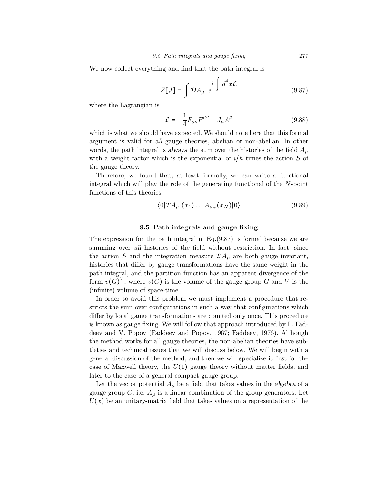We now collect everything and find that the path integral is

$$
Z[J] = \int \mathcal{D}A_{\mu} e^{i \int d^4x \mathcal{L}} \qquad (9.87)
$$

where the Lagrangian is

$$
\mathcal{L} = -\frac{1}{4} F_{\mu\nu} F^{\mu\nu} + J_{\mu} A^{\mu} \tag{9.88}
$$

which is what we should have expected. We should note here that this formal argument is valid for all gauge theories, abelian or non-abelian. In other words, the path integral is always the sum over the histories of the field  $A_{\mu}$ with a weight factor which is the exponential of  $i/\hbar$  times the action S of the gauge theory.

Therefore, we found that, at least formally, we can write a functional integral which will play the role of the generating functional of the N-point functions of this theories,

$$
\langle 0|TA_{\mu_1}(x_1)\dots A_{\mu_N}(x_N)|0\rangle\tag{9.89}
$$

## 9.5 Path integrals and gauge fixing

The expression for the path integral in Eq.(9.87) is formal because we are summing over all histories of the field without restriction. In fact, since the action S and the integration measure  $\mathcal{D}A_\mu$  are both gauge invariant, histories that differ by gauge transformations have the same weight in the path integral, and the partition function has an apparent divergence of the form  $v(G)^V$ , where  $v(G)$  is the volume of the gauge group G and V is the (infinite) volume of space-time.

In order to avoid this problem we must implement a procedure that restricts the sum over configurations in such a way that configurations which differ by local gauge transformations are counted only once. This procedure is known as gauge fixing. We will follow that approach introduced by L. Faddeev and V. Popov (Faddeev and Popov, 1967; Faddeev, 1976). Although the method works for all gauge theories, the non-abelian theories have subtleties and technical issues that we will discuss below. We will begin with a general discussion of the method, and then we will specialize it first for the case of Maxwell theory, the  $U(1)$  gauge theory without matter fields, and later to the case of a general compact gauge group.

Let the vector potential  $A_{\mu}$  be a field that takes values in the algebra of a gauge group G, i.e.  $A_\mu$  is a linear combination of the group generators. Let  $U(x)$  be an unitary-matrix field that takes values on a representation of the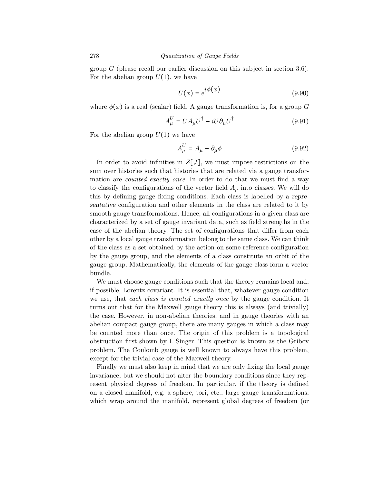group  $G$  (please recall our earlier discussion on this subject in section 3.6). For the abelian group  $U(1)$ , we have

$$
U(x) = e^{i\phi(x)} \tag{9.90}
$$

where  $\phi(x)$  is a real (scalar) field. A gauge transformation is, for a group G

$$
A_{\mu}^{U} = U A_{\mu} U^{\dagger} - i U \partial_{\mu} U^{\dagger}
$$
\n(9.91)

For the abelian group  $U(1)$  we have

$$
A_{\mu}^{U} = A_{\mu} + \partial_{\mu}\phi \tag{9.92}
$$

In order to avoid infinities in  $Z[J]$ , we must impose restrictions on the sum over histories such that histories that are related via a gauge transformation are *counted exactly once*. In order to do that we must find a way to classify the configurations of the vector field  $A<sub>u</sub>$  into classes. We will do this by defining gauge fixing conditions. Each class is labelled by a representative configuration and other elements in the class are related to it by smooth gauge transformations. Hence, all configurations in a given class are characterized by a set of gauge invariant data, such as field strengths in the case of the abelian theory. The set of configurations that differ from each other by a local gauge transformation belong to the same class. We can think of the class as a set obtained by the action on some reference configuration by the gauge group, and the elements of a class constitute an orbit of the gauge group. Mathematically, the elements of the gauge class form a vector bundle.

We must choose gauge conditions such that the theory remains local and, if possible, Lorentz covariant. It is essential that, whatever gauge condition we use, that each class is counted exactly once by the gauge condition. It turns out that for the Maxwell gauge theory this is always (and trivially) the case. However, in non-abelian theories, and in gauge theories with an abelian compact gauge group, there are many gauges in which a class may be counted more than once. The origin of this problem is a topological obstruction first shown by I. Singer. This question is known as the Gribov problem. The Coulomb gauge is well known to always have this problem, except for the trivial case of the Maxwell theory.

Finally we must also keep in mind that we are only fixing the local gauge invariance, but we should not alter the boundary conditions since they represent physical degrees of freedom. In particular, if the theory is defined on a closed manifold, e.g. a sphere, tori, etc., large gauge transformations, which wrap around the manifold, represent global degrees of freedom (or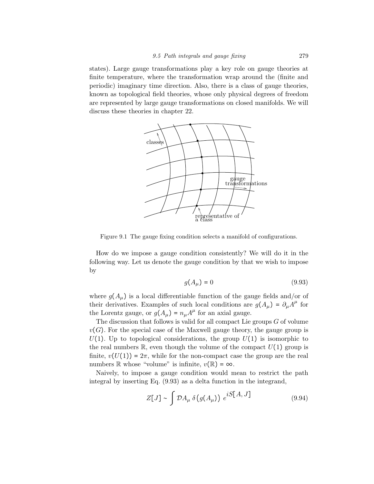states). Large gauge transformations play a key role on gauge theories at finite temperature, where the transformation wrap around the (finite and periodic) imaginary time direction. Also, there is a class of gauge theories, known as topological field theories, whose only physical degrees of freedom are represented by large gauge transformations on closed manifolds. We will discuss these theories in chapter 22.



Figure 9.1 The gauge fixing condition selects a manifold of configurations.

How do we impose a gauge condition consistently? We will do it in the following way. Let us denote the gauge condition by that we wish to impose by

$$
g(A_{\mu}) = 0 \tag{9.93}
$$

where  $g(A_\mu)$  is a local differentiable function of the gauge fields and/or of their derivatives. Examples of such local conditions are  $g(A_\mu) = \partial_\mu A^\mu$  for the Lorentz gauge, or  $g(A_\mu) = n_\mu A^\mu$  for an axial gauge.

The discussion that follows is valid for all compact Lie groups  $G$  of volume  $v(G)$ . For the special case of the Maxwell gauge theory, the gauge group is  $U(1)$ . Up to topological considerations, the group  $U(1)$  is isomorphic to the real numbers  $\mathbb{R}$ , even though the volume of the compact  $U(1)$  group is finite,  $v(U(1)) = 2\pi$ , while for the non-compact case the group are the real numbers R whose "volume" is infinite,  $v(\mathbb{R}) = \infty$ .

Naively, to impose a gauge condition would mean to restrict the path integral by inserting Eq. (9.93) as a delta function in the integrand,

$$
Z[J] \sim \int \mathcal{D}A_{\mu} \,\delta\big(g(A_{\mu})\big) \, e^{iS[A,J]} \tag{9.94}
$$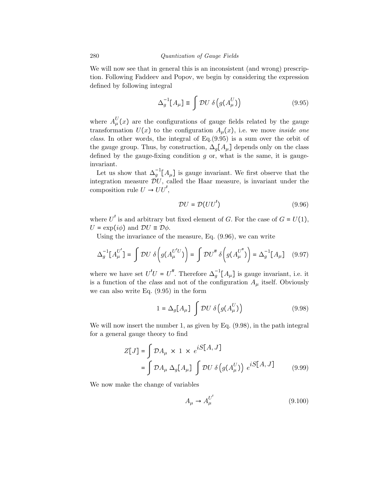We will now see that in general this is an inconsistent (and wrong) prescription. Following Faddeev and Popov, we begin by considering the expression defined by following integral

$$
\Delta_g^{-1}[A_\mu] \equiv \int \mathcal{D}U \ \delta\left(g(A_\mu^U)\right) \tag{9.95}
$$

where  $A_{\mu}^{U}(x)$  are the configurations of gauge fields related by the gauge transformation  $U(x)$  to the configuration  $A_\mu(x)$ , i.e. we move *inside one* class. In other words, the integral of Eq.(9.95) is a sum over the orbit of the gauge group. Thus, by construction,  $\Delta_g[A_\mu]$  depends only on the class defined by the gauge-fixing condition  $g$  or, what is the same, it is gaugeinvariant.

Let us show that  $\Delta_g^{-1}[A_\mu]$  is gauge invariant. We first observe that the integration measure  $\overline{\mathcal{D}}U$ , called the Haar measure, is invariant under the composition rule  $U \rightarrow UU'$ ,

$$
\mathcal{D}U = \mathcal{D}(UU')\tag{9.96}
$$

where U' is and arbitrary but fixed element of G. For the case of  $G = U(1)$ ,  $U = \exp(i\phi)$  and  $DU \equiv D\phi$ .

Using the invariance of the measure, Eq. (9.96), we can write

$$
\Delta_g^{-1}[A_{\mu}^{U'}] = \int \mathcal{D}U \ \delta\bigg(g(A_{\mu}^{U'U})\bigg) = \int \mathcal{D}U'' \ \delta\bigg(g(A_{\mu}^{U''})\bigg) = \Delta_g^{-1}[A_{\mu}] \tag{9.97}
$$

where we have set  $U'U = U''$ . Therefore  $\Delta_g^{-1}[A_\mu]$  is gauge invariant, i.e. it is a function of the class and not of the configuration  $A_\mu$  itself. Obviously we can also write Eq. (9.95) in the form

$$
1 = \Delta_g[A_\mu] \int \mathcal{D}U \ \delta\left(g(A_\mu^U)\right) \tag{9.98}
$$

We will now insert the number 1, as given by Eq. (9.98), in the path integral for a general gauge theory to find

$$
Z[J] = \int \mathcal{D}A_{\mu} \times 1 \times e^{iS[A,J]}
$$
  
= 
$$
\int \mathcal{D}A_{\mu} \Delta_g[A_{\mu}] \int \mathcal{D}U \delta(g(A_{\mu}^{U})) e^{iS[A,J]} \qquad (9.99)
$$

We now make the change of variables

$$
A_{\mu} \to A_{\mu}^{U'} \tag{9.100}
$$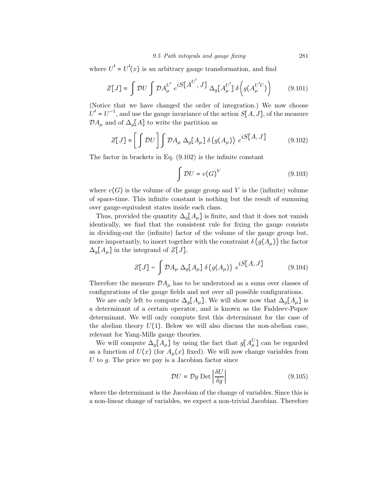### 9.5 Path integrals and gauge fixing 281

where  $U' = U'(x)$  is an arbitrary gauge transformation, and find

$$
Z[J] = \int \mathcal{D}U \int \mathcal{D}A_{\mu}^{U'} e^{iS[A^{U'}, J]} \Delta_g[A_{\mu}^{U'}] \delta(g(A_{\mu}^{U'U})) \qquad (9.101)
$$

(Notice that we have changed the order of integration.) We now choose  $U' = U^{-1}$ , and use the gauge invariance of the action  $S[A, J]$ , of the measure  $\mathcal{D}A_{\mu}$  and of  $\Delta_{g}[A]$  to write the partition as

$$
Z[J] = \left[ \int \mathcal{D}U \right] \int \mathcal{D}A_{\mu} \Delta_{g}[A_{\mu}] \delta(g(A_{\mu})) e^{iS[A, J]} \qquad (9.102)
$$

The factor in brackets in Eq. (9.102) is the infinite constant

$$
\int \mathcal{D}U = v(G)^V \tag{9.103}
$$

where  $v(G)$  is the volume of the gauge group and V is the (infinite) volume of space-time. This infinite constant is nothing but the result of summing over gauge-equivalent states inside each class.

Thus, provided the quantity  $\Delta_q[A_\mu]$  is finite, and that it does not vanish identically, we find that the consistent rule for fixing the gauge consists in dividing-out the (infinite) factor of the volume of the gauge group but, more importantly, to insert together with the constraint  $\delta(g(A_\mu))$  the factor  $\Delta_q[A_\mu]$  in the integrand of  $Z[J],$ 

$$
Z[J] \sim \int \mathcal{D}A_{\mu} \Delta_g[A_{\mu}] \delta(g(A_{\mu})) e^{iS[A, J]} \qquad (9.104)
$$

Therefore the measure  $\mathcal{D}A_\mu$  has to be understood as a sums over classes of configurations of the gauge fields and not over all possible configurations.

We are only left to compute  $\Delta_q[A_\mu]$ . We will show now that  $\Delta_q[A_\mu]$  is a determinant of a certain operator, and is known as the Faddeev-Popov determinant. We will only compute first this determinant for the case of the abelian theory  $U(1)$ . Below we will also discuss the non-abelian case, relevant for Yang-Mills gauge theories.

We will compute  $\Delta_g[A_\mu]$  by using the fact that  $g[A_\mu^U]$  can be regarded as a function of  $U(x)$  (for  $A_\mu(x)$  fixed). We will now change variables from U to g. The price we pay is a Jacobian factor since

$$
\mathcal{D}U = \mathcal{D}g \operatorname{Det} \left| \frac{\delta U}{\delta g} \right| \tag{9.105}
$$

where the determinant is the Jacobian of the change of variables. Since this is a non-linear change of variables, we expect a non-trivial Jacobian. Therefore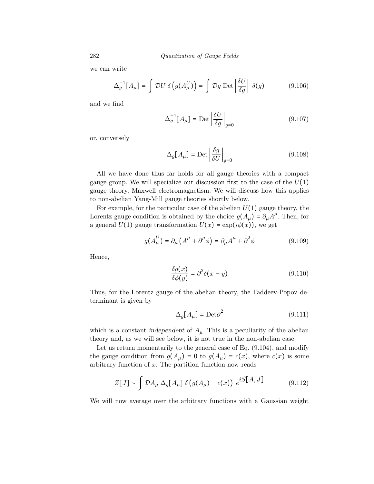we can write

$$
\Delta_g^{-1}[A_\mu] = \int \mathcal{D}U \,\delta\left(g(A_\mu^U)\right) = \int \mathcal{D}g \,\mathrm{Det} \left|\frac{\delta U}{\delta g}\right| \,\delta(g) \tag{9.106}
$$

and we find

$$
\Delta_g^{-1}[A_\mu] = \text{Det}\left|\frac{\delta U}{\delta g}\right|_{g=0} \tag{9.107}
$$

or, conversely

$$
\Delta_g[A_\mu] = \text{Det}\left|\frac{\delta g}{\delta U}\right|_{g=0} \tag{9.108}
$$

All we have done thus far holds for all gauge theories with a compact gauge group. We will specialize our discussion first to the case of the  $U(1)$ gauge theory, Maxwell electromagnetism. We will discuss how this applies to non-abelian Yang-Mill gauge theories shortly below.

For example, for the particular case of the abelian  $U(1)$  gauge theory, the Lorentz gauge condition is obtained by the choice  $g(A_\mu) = \partial_\mu A^\mu$ . Then, for a general  $U(1)$  gauge transformation  $U(x) = \exp(i\phi(x))$ , we get

$$
g(A^U_\mu) = \partial_\mu \left( A^\mu + \partial^\mu \phi \right) = \partial_\mu A^\mu + \partial^2 \phi \tag{9.109}
$$

Hence,

$$
\frac{\delta g(x)}{\delta \phi(y)} = \partial^2 \delta(x - y) \tag{9.110}
$$

Thus, for the Lorentz gauge of the abelian theory, the Faddeev-Popov determinant is given by

$$
\Delta_g[A_\mu] = \text{Det}\partial^2\tag{9.111}
$$

which is a constant independent of  $A_\mu$ . This is a peculiarity of the abelian theory and, as we will see below, it is not true in the non-abelian case.

Let us return momentarily to the general case of Eq. (9.104), and modify the gauge condition from  $g(A_\mu) = 0$  to  $g(A_\mu) = c(x)$ , where  $c(x)$  is some arbitrary function of  $x$ . The partition function now reads

$$
Z[J] \sim \int \mathcal{D}A_{\mu} \Delta_g[A_{\mu}] \delta(g(A_{\mu}) - c(x)) e^{iS[A, J]}
$$
(9.112)

We will now average over the arbitrary functions with a Gaussian weight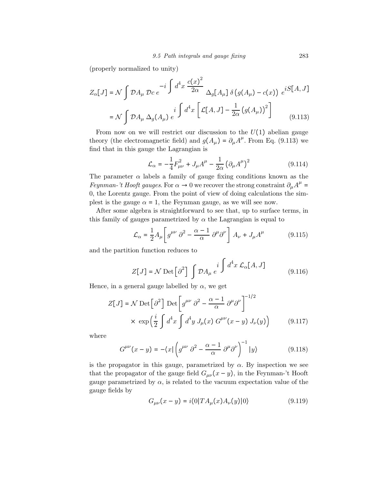(properly normalized to unity)

$$
Z_{\alpha}[J] = \mathcal{N} \int \mathcal{D}A_{\mu} \mathcal{D}c e^{-i \int d^4x \frac{c(x)^2}{2\alpha}} \Delta_g[A_{\mu}] \delta(g(A_{\mu}) - c(x)) e^{iS[A, J]}
$$

$$
= \mathcal{N} \int \mathcal{D}A_{\mu} \Delta_g(A_{\mu}) e^{i \int d^4x \left[ \mathcal{L}[A, J] - \frac{1}{2\alpha} (g(A_{\mu}))^2 \right]}
$$
(9.113)

From now on we will restrict our discussion to the  $U(1)$  abelian gauge theory (the electromagnetic field) and  $g(A_\mu) = \partial_\mu A^\mu$ . From Eq. (9.113) we find that in this gauge the Lagrangian is

$$
\mathcal{L}_{\alpha} = -\frac{1}{4}F_{\mu\nu}^{2} + J_{\mu}A^{\mu} - \frac{1}{2\alpha}(\partial_{\mu}A^{\mu})^{2}
$$
(9.114)

The parameter  $\alpha$  labels a family of gauge fixing conditions known as the *Feynman-'t Hooft gauges*. For  $\alpha \to 0$  we recover the strong constraint  $\partial_{\mu}A^{\mu} =$ 0, the Lorentz gauge. From the point of view of doing calculations the simplest is the gauge  $\alpha = 1$ , the Feynman gauge, as we will see now.

After some algebra is straightforward to see that, up to surface terms, in this family of gauges parametrized by  $\alpha$  the Lagrangian is equal to

$$
\mathcal{L}_{\alpha} = \frac{1}{2} A_{\mu} \left[ g^{\mu \nu} \partial^2 - \frac{\alpha - 1}{\alpha} \partial^{\mu} \partial^{\nu} \right] A_{\nu} + J_{\mu} A^{\mu} \tag{9.115}
$$

and the partition function reduces to

$$
Z[J] = \mathcal{N} \operatorname{Det} \left[ \partial^2 \right] \int \mathcal{D}A_\mu \, e^{i \int d^4 x \, \mathcal{L}_\alpha [A, J]} \tag{9.116}
$$

Hence, in a general gauge labelled by  $\alpha$ , we get

$$
Z[J] = \mathcal{N} \operatorname{Det} \left[ \partial^2 \right] \operatorname{Det} \left[ g^{\mu \nu} \partial^2 - \frac{\alpha - 1}{\alpha} \partial^{\mu} \partial^{\nu} \right]^{-1/2}
$$
  
 
$$
\times \exp \left( \frac{i}{2} \int d^4 x \int d^4 y \, J_{\mu}(x) \, G^{\mu \nu}(x - y) \, J_{\nu}(y) \right) \tag{9.117}
$$

where

$$
G^{\mu\nu}(x-y) = -\langle x | \left( g^{\mu\nu} \partial^2 - \frac{\alpha - 1}{\alpha} \partial^\mu \partial^\nu \right)^{-1} | y \rangle \tag{9.118}
$$

is the propagator in this gauge, parametrized by  $\alpha$ . By inspection we see that the propagator of the gauge field  $G_{\mu\nu}(x-y)$ , in the Feynman-'t Hooft gauge parametrized by  $\alpha$ , is related to the vacuum expectation value of the gauge fields by

$$
G_{\mu\nu}(x-y) = i \langle 0| T A_{\mu}(x) A_{\nu}(y) | 0 \rangle \tag{9.119}
$$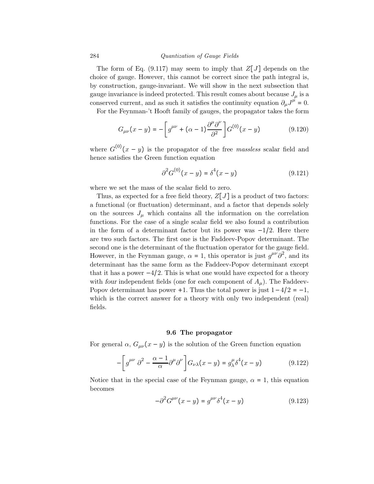The form of Eq. (9.117) may seem to imply that  $Z[J]$  depends on the choice of gauge. However, this cannot be correct since the path integral is, by construction, gauge-invariant. We will show in the next subsection that gauge invariance is indeed protected. This result comes about because  $J_{\mu}$  is a conserved current, and as such it satisfies the continuity equation  $\partial_{\mu}J^{\mu} = 0$ .

For the Feynman-'t Hooft family of gauges, the propagator takes the form

$$
G_{\mu\nu}(x-y) = -\left[g^{\mu\nu} + (\alpha - 1)\frac{\partial^{\mu}\partial^{\nu}}{\partial^2}\right]G^{(0)}(x-y) \tag{9.120}
$$

where  $G^{(0)}(x-y)$  is the propagator of the free *massless* scalar field and hence satisfies the Green function equation

$$
\partial^2 G^{(0)}(x - y) = \delta^4(x - y)
$$
\n(9.121)

where we set the mass of the scalar field to zero.

Thus, as expected for a free field theory,  $Z[J]$  is a product of two factors: a functional (or fluctuation) determinant, and a factor that depends solely on the sources  $J_{\mu}$  which contains all the information on the correlation functions. For the case of a single scalar field we also found a contribution in the form of a determinant factor but its power was  $-1/2$ . Here there are two such factors. The first one is the Faddeev-Popov determinant. The second one is the determinant of the fluctuation operator for the gauge field. However, in the Feynman gauge,  $\alpha = 1$ , this operator is just  $g^{\mu\nu}\partial^2$ , and its determinant has the same form as the Faddeev-Popov determinant except that it has a power  $-4/2$ . This is what one would have expected for a theory with four independent fields (one for each component of  $A_\mu$ ). The Faddeev-Popov determinant has power +1. Thus the total power is just  $1-4/2 = -1$ , which is the correct answer for a theory with only two independent (real) fields.

## 9.6 The propagator

For general  $\alpha$ ,  $G_{\mu\nu}(x-y)$  is the solution of the Green function equation

$$
-\left[g^{\mu\nu}\partial^2 - \frac{\alpha - 1}{\alpha}\partial^\mu\partial^\nu\right]G_{\nu\lambda}(x - y) = g^{\mu}_{\lambda}\delta^4(x - y) \tag{9.122}
$$

Notice that in the special case of the Feynman gauge,  $\alpha = 1$ , this equation becomes

$$
-\partial^2 G^{\mu\nu}(x-y) = g^{\mu\nu}\delta^4(x-y) \tag{9.123}
$$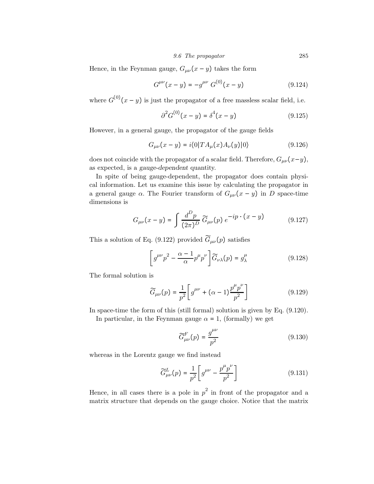9.6 The propagator 285

Hence, in the Feynman gauge,  $G_{\mu\nu}(x-y)$  takes the form

$$
G^{\mu\nu}(x - y) = -g^{\mu\nu} G^{(0)}(x - y)
$$
 (9.124)

where  $G^{(0)}(x-y)$  is just the propagator of a free massless scalar field, i.e.

$$
\partial^2 G^{(0)}(x - y) = \delta^4(x - y) \tag{9.125}
$$

However, in a general gauge, the propagator of the gauge fields

$$
G_{\mu\nu}(x-y) = i \langle 0| T A_{\mu}(x) A_{\nu}(y) | 0 \rangle \tag{9.126}
$$

does not coincide with the propagator of a scalar field. Therefore,  $G_{\mu\nu}(x-y)$ , as expected, is a gauge-dependent quantity.

In spite of being gauge-dependent, the propagator does contain physical information. Let us examine this issue by calculating the propagator in a general gauge  $\alpha$ . The Fourier transform of  $G_{\mu\nu}(x-y)$  in D space-time dimensions is

$$
G_{\mu\nu}(x - y) = \int \frac{d^D p}{(2\pi)^D} \widetilde{G}_{\mu\nu}(p) e^{-ip \cdot (x - y)}
$$
(9.127)

This a solution of Eq. (9.122) provided  $\widetilde{G}_{\mu\nu}(p)$  satisfies

$$
\left[g^{\mu\nu}p^2 - \frac{\alpha - 1}{\alpha}p^{\mu}p^{\nu}\right]\widetilde{G}_{\nu\lambda}(p) = g^{\mu}_{\lambda}
$$
 (9.128)

The formal solution is

$$
\widetilde{G}_{\mu\nu}(p) = \frac{1}{p^2} \left[ g^{\mu\nu} + (\alpha - 1) \frac{p^{\mu} p^{\nu}}{p^2} \right]
$$
\n(9.129)

In space-time the form of this (still formal) solution is given by Eq. (9.120).

In particular, in the Feynman gauge  $\alpha = 1$ , (formally) we get

$$
\widetilde{G}_{\mu\nu}^F(p) = \frac{g^{\mu\nu}}{p^2} \tag{9.130}
$$

whereas in the Lorentz gauge we find instead

$$
\widetilde{G}^{L}_{\mu\nu}(p) = \frac{1}{p^2} \left[ g^{\mu\nu} - \frac{p^{\mu} p^{\nu}}{p^2} \right]
$$
\n(9.131)

Hence, in all cases there is a pole in  $p^2$  in front of the propagator and a matrix structure that depends on the gauge choice. Notice that the matrix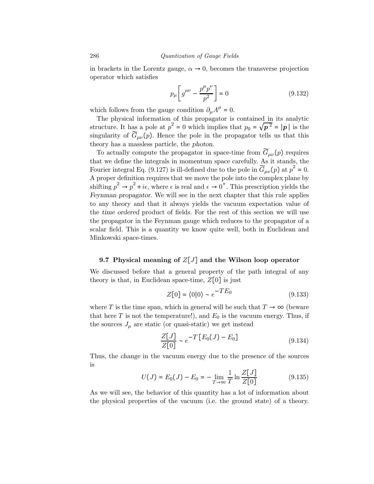in brackets in the Lorentz gauge,  $\alpha \to 0$ , becomes the transverse projection operator which satisfies

$$
p_{\mu} \left[ g^{\mu \nu} - \frac{p^{\mu} p^{\nu}}{p^2} \right] = 0 \tag{9.132}
$$

which follows from the gauge condition  $\partial_{\mu}A^{\mu} = 0$ .

The physical information of this propagator is contained in its analytic structure. It has a pole at  $p^2 = 0$  which implies that  $p_0 = \sqrt{p^2} = |p|$  is the singularity of  $\widetilde{G}_{\mu\nu}(p)$ . Hence the pole in the propagator tells us that this theory has a massless particle, the photon.

To actually compute the propagator in space-time from  $\tilde{G}_{\mu\nu}(p)$  requires that we define the integrals in momentum space carefully. As it stands, the Fourier integral Eq. (9.127) is ill-defined due to the pole in  $\widetilde{G}_{\mu\nu}(p)$  at  $p^2 = 0$ . A proper definition requires that we move the pole into the complex plane by shifting  $p^2 \to p^2 + i\epsilon$ , where  $\epsilon$  is real and  $\epsilon \to 0^+$ . This prescription yields the Feynman propagator. We will see in the next chapter that this rule applies to any theory and that it always yields the vacuum expectation value of the time ordered product of fields. For the rest of this section we will use the propagator in the Feynman gauge which reduces to the propagator of a scalar field. This is a quantity we know quite well, both in Euclidean and Minkowski space-times.

## 9.7 Physical meaning of  $Z[J]$  and the Wilson loop operator

We discussed before that a general property of the path integral of any theory is that, in Euclidean space-time,  $Z[0]$  is just

$$
Z[0] = \langle 0|0 \rangle \sim e^{-TE_0} \tag{9.133}
$$

where T is the time span, which in general will be such that  $T \to \infty$  (beware that here T is not the temperature!), and  $E_0$  is the vacuum energy. Thus, if the sources  $J_{\mu}$  are static (or quasi-static) we get instead

$$
\frac{Z[J]}{Z[0]} \sim e^{-T\left[E_0(J) - E_0\right]}
$$
\n
$$
(9.134)
$$

Thus, the change in the vacuum energy due to the presence of the sources is

$$
U(J) = E_0(J) - E_0 = -\lim_{T \to \infty} \frac{1}{T} \ln \frac{Z[J]}{Z[0]}
$$
(9.135)

As we will see, the behavior of this quantity has a lot of information about the physical properties of the vacuum (i.e. the ground state) of a theory.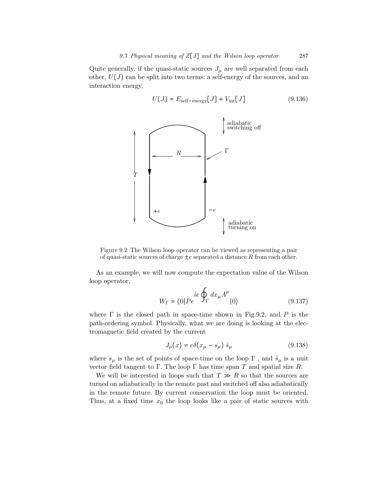Quite generally, if the quasi-static sources  $J_{\mu}$  are well separated from each other,  $U(J)$  can be split into two terms: a self-energy of the sources, and an interaction energy,

$$
U(J) = E_{\text{self-energy}}[J] + V_{\text{int}}[J] \tag{9.136}
$$



Figure 9.2 The Wilson loop operator can be viewed as representing a pair of quasi-static sources of charge  $\pm e$  separated a distance R from each other.

As an example, we will now compute the expectation value of the Wilson loop operator,

$$
W_{\Gamma} = \langle 0|Pe \stackrel{i e \oint_{\Gamma} dx_{\mu}A^{\mu}}{|0\rangle} \tag{9.137}
$$

where  $\Gamma$  is the closed path in space-time shown in Fig.9.2, and P is the path-ordering symbol. Physically, what we are doing is looking at the electromagnetic field created by the current

$$
J_{\mu}(x) = e\delta(x_{\mu} - s_{\mu})\hat{s}_{\mu} \tag{9.138}
$$

where  $s_\mu$  is the set of points of space-time on the loop  $\Gamma$  , and  $\hat{s}_\mu$  is a unit vector field tangent to Γ. The loop Γ has time span T and spatial size R.

We will be interested in loops such that  $T \gg R$  so that the sources are turned on adiabatically in the remote past and switched off also adiabatically in the remote future. By current conservation the loop must be oriented. Thus, at a fixed time  $x_0$  the loop looks like a pair of static sources with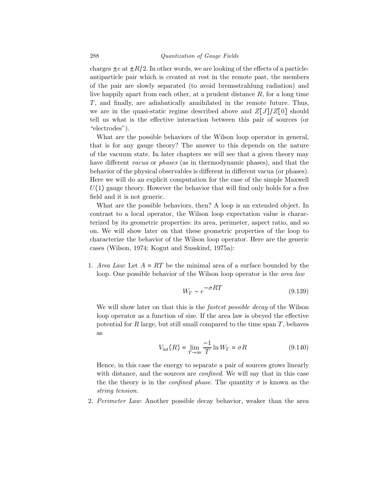charges  $\pm e$  at  $\pm R/2$ . In other words, we are looking of the effects of a particleantiparticle pair which is created at rest in the remote past, the members of the pair are slowly separated (to avoid bremsstrahlung radiation) and live happily apart from each other, at a prudent distance  $R$ , for a long time T, and finally, are adiabatically annihilated in the remote future. Thus, we are in the quasi-static regime described above and  $Z[J]/Z[0]$  should tell us what is the effective interaction between this pair of sources (or "electrodes").

What are the possible behaviors of the Wilson loop operator in general, that is for any gauge theory? The answer to this depends on the nature of the vacuum state. In later chapters we will see that a given theory may have different vacua or phases (as in thermodynamic phases), and that the behavior of the physical observables is different in different vacua (or phases). Here we will do an explicit computation for the case of the simple Maxwell  $U(1)$  gauge theory. However the behavior that will find only holds for a free field and it is not generic.

What are the possible behaviors, then? A loop is an extended object. In contrast to a local operator, the Wilson loop expectation value is characterized by its geometric properties: its area, perimeter, aspect ratio, and so on. We will show later on that these geometric properties of the loop to characterize the behavior of the Wilson loop operator. Here are the generic cases (Wilson, 1974; Kogut and Susskind, 1975a):

1. Area Law: Let  $A = RT$  be the minimal area of a surface bounded by the loop. One possible behavior of the Wilson loop operator is the area law

$$
W_{\Gamma} \sim e^{-\sigma RT} \tag{9.139}
$$

We will show later on that this is the *fastest possible decay* of the Wilson loop operator as a function of size. If the area law is obeyed the effective potential for R large, but still small compared to the time span  $T$ , behaves as

$$
V_{\rm int}(R) = \lim_{T \to \infty} \frac{-1}{T} \ln W_{\Gamma} = \sigma R \tag{9.140}
$$

Hence, in this case the energy to separate a pair of sources grows linearly with distance, and the sources are *confined*. We will say that in this case the the theory is in the *confined phase*. The quantity  $\sigma$  is known as the string tension.

2. Perimeter Law: Another possible decay behavior, weaker than the area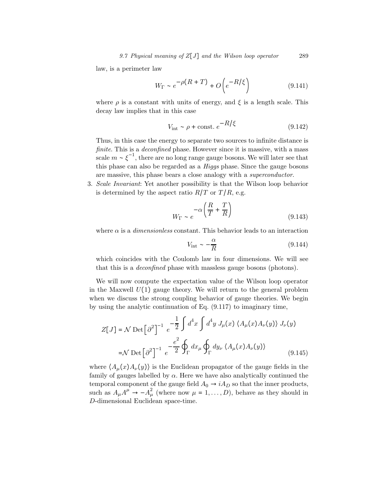law, is a perimeter law

$$
W_{\Gamma} \sim e^{-\rho (R+T)} + O\left(e^{-R/\xi}\right) \tag{9.141}
$$

where  $\rho$  is a constant with units of energy, and  $\xi$  is a length scale. This decay law implies that in this case

$$
V_{\text{int}} \sim \rho + \text{const.} \, e^{-R/\xi} \tag{9.142}
$$

Thus, in this case the energy to separate two sources to infinite distance is finite. This is a *deconfined* phase. However since it is massive, with a mass scale  $m \sim \xi^{-1}$ , there are no long range gauge bosons. We will later see that this phase can also be regarded as a Higgs phase. Since the gauge bosons are massive, this phase bears a close analogy with a superconductor.

3. Scale Invariant: Yet another possibility is that the Wilson loop behavior is determined by the aspect ratio  $R/T$  or  $T/R$ , e.g.

$$
W_{\Gamma} \sim e^{-\alpha \left(\frac{R}{T} + \frac{T}{R}\right)}\tag{9.143}
$$

where  $\alpha$  is a *dimensionless* constant. This behavior leads to an interaction

$$
V_{\rm int} \sim -\frac{\alpha}{R} \tag{9.144}
$$

which coincides with the Coulomb law in four dimensions. We will see that this is a deconfined phase with massless gauge bosons (photons).

We will now compute the expectation value of the Wilson loop operator in the Maxwell  $U(1)$  gauge theory. We will return to the general problem when we discuss the strong coupling behavior of gauge theories. We begin by using the analytic continuation of Eq. (9.117) to imaginary time,

$$
Z[J] = \mathcal{N} \operatorname{Det} \left[ \partial^2 \right]^{-1} e^{-\frac{1}{2} \int d^4 x \int d^4 y J_\mu(x) \langle A_\mu(x) A_\nu(y) \rangle J_\nu(y)}
$$

$$
= \mathcal{N} \operatorname{Det} \left[ \partial^2 \right]^{-1} e^{-\frac{e^2}{2} \oint_{\Gamma} dx_\mu \oint_{\Gamma} dy_\nu \langle A_\mu(x) A_\nu(y) \rangle}
$$
(9.145)

where  $\langle A_\mu(x)A_\nu(y)\rangle$  is the Euclidean propagator of the gauge fields in the family of gauges labelled by  $\alpha$ . Here we have also analytically continued the temporal component of the gauge field  $A_0 \rightarrow iA_D$  so that the inner products, such as  $A_{\mu}A^{\mu} \rightarrow -A_{\mu}^{2}$  (where now  $\mu = 1, ..., D$ ), behave as they should in D-dimensional Euclidean space-time.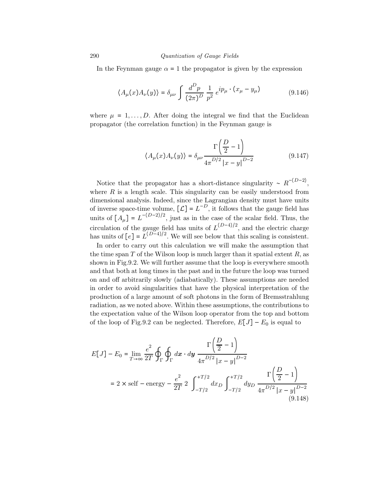In the Feynman gauge  $\alpha = 1$  the propagator is given by the expression

$$
\langle A_{\mu}(x)A_{\nu}(y)\rangle = \delta_{\mu\nu} \int \frac{d^D p}{(2\pi)^D} \frac{1}{p^2} e^{ip_{\mu} \cdot (x_{\mu} - y_{\mu})}
$$
(9.146)

where  $\mu = 1, \ldots, D$ . After doing the integral we find that the Euclidean propagator (the correlation function) in the Feynman gauge is

$$
\langle A_{\mu}(x)A_{\nu}(y)\rangle = \delta_{\mu\nu}\frac{\Gamma\left(\frac{D}{2}-1\right)}{4\pi^{D/2}|x-y|^{D-2}}
$$
(9.147)

Notice that the propagator has a short-distance singularity ~  $R^{-(D-2)}$ , where  $R$  is a length scale. This singularity can be easily understood from dimensional analysis. Indeed, since the Lagrangian density must have units of inverse space-time volume,  $[\mathcal{L}] = L^{-D}$ , it follows that the gauge field has units of  $[A_\mu] = L^{-(D-2)/2}$ , just as in the case of the scalar field. Thus, the circulation of the gauge field has units of  $L^{(D-4)/2}$ , and the electric charge has units of  $[e] = L^{(D-4)/2}$ . We will see below that this scaling is consistent.

In order to carry out this calculation we will make the assumption that the time span  $T$  of the Wilson loop is much larger than it spatial extent  $R$ , as shown in Fig.9.2. We will further assume that the loop is everywhere smooth and that both at long times in the past and in the future the loop was turned on and off arbitrarily slowly (adiabatically). These assumptions are needed in order to avoid singularities that have the physical interpretation of the production of a large amount of soft photons in the form of Bremsstrahlung radiation, as we noted above. Within these assumptions, the contributions to the expectation value of the Wilson loop operator from the top and bottom of the loop of Fig.9.2 can be neglected. Therefore,  $E[J] - E_0$  is equal to

$$
E[J] - E_0 = \lim_{T \to \infty} \frac{e^2}{2T} \oint_{\Gamma} \oint_{\Gamma} dx \cdot dy \frac{\Gamma\left(\frac{D}{2} - 1\right)}{4\pi^{D/2} |x - y|^{D-2}}
$$
  
= 2 \times self - energy -  $\frac{e^2}{2T}$  2  $\int_{-T/2}^{+T/2} dx_D \int_{-T/2}^{+T/2} dy_D \frac{\Gamma\left(\frac{D}{2} - 1\right)}{4\pi^{D/2} |x - y|^{D-2}}$  (9.148)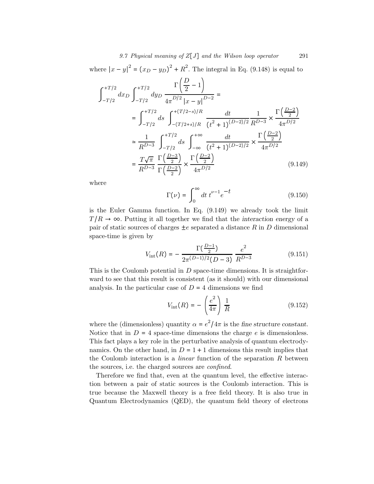where  $|x - y|^2 = (x_D - y_D)^2 + R^2$ . The integral in Eq. (9.148) is equal to

$$
\int_{-T/2}^{+T/2} dx_{D} \int_{-T/2}^{+T/2} dy_{D} \frac{\Gamma(\frac{D}{2} - 1)}{4\pi^{D/2} |x - y|^{D-2}} =
$$
\n
$$
= \int_{-T/2}^{+T/2} ds \int_{-T/2+ s/R}^{+T/2-s/R} \frac{dt}{(t^{2} + 1)^{(D-2)/2}} \frac{1}{R^{D-3}} \times \frac{\Gamma(\frac{D-2}{2})}{4\pi^{D/2}}
$$
\n
$$
\approx \frac{1}{R^{D-3}} \int_{-T/2}^{+T/2} ds \int_{-\infty}^{+\infty} \frac{dt}{(t^{2} + 1)^{(D-2)/2}} \times \frac{\Gamma(\frac{D-2}{2})}{4\pi^{D/2}}
$$
\n
$$
= \frac{T\sqrt{\pi}}{R^{D-3}} \frac{\Gamma(\frac{D-3}{2})}{\Gamma(\frac{D-2}{2})} \times \frac{\Gamma(\frac{D-2}{2})}{4\pi^{D/2}} \tag{9.149}
$$

where

$$
\Gamma(\nu) = \int_0^\infty dt \ t^{\nu - 1} e^{-t} \tag{9.150}
$$

is the Euler Gamma function. In Eq. (9.149) we already took the limit  $T/R \rightarrow \infty$ . Putting it all together we find that the interaction energy of a pair of static sources of charges  $\pm e$  separated a distance R in D dimensional space-time is given by

$$
V_{\rm int}(R) = -\frac{\Gamma(\frac{D-1}{2})}{2\pi^{(D-1)/2}(D-3)} \frac{e^2}{R^{D-3}}
$$
(9.151)

This is the Coulomb potential in  $D$  space-time dimensions. It is straightforward to see that this result is consistent (as it should) with our dimensional analysis. In the particular case of  $D = 4$  dimensions we find

$$
V_{\rm int}(R) = -\left(\frac{e^2}{4\pi}\right)\frac{1}{R} \tag{9.152}
$$

where the (dimensionless) quantity  $\alpha = e^2/4\pi$  is the fine structure constant. Notice that in  $D = 4$  space-time dimensions the charge e is dimensionless. This fact plays a key role in the perturbative analysis of quantum electrodynamics. On the other hand, in  $D = 1 + 1$  dimensions this result implies that the Coulomb interaction is a *linear* function of the separation  $R$  between the sources, i.e. the charged sources are confined.

Therefore we find that, even at the quantum level, the effective interaction between a pair of static sources is the Coulomb interaction. This is true because the Maxwell theory is a free field theory. It is also true in Quantum Electrodynamics (QED), the quantum field theory of electrons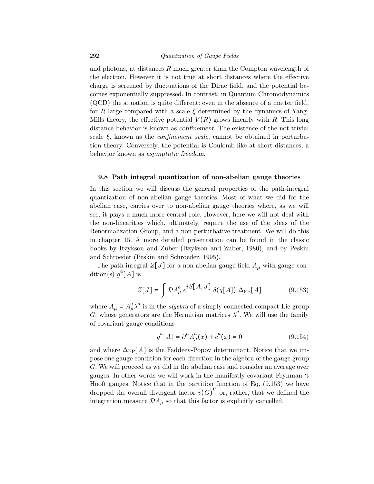and photons, at distances  $R$  much greater than the Compton wavelength of the electron. However it is not true at short distances where the effective charge is screened by fluctuations of the Dirac field, and the potential becomes exponentially suppressed. In contrast, in Quantum Chromodynamics (QCD) the situation is quite different: even in the absence of a matter field, for R large compared with a scale  $\xi$  determined by the dynamics of Yang-Mills theory, the effective potential  $V(R)$  grows linearly with R. This long distance behavior is known as confinement. The existence of the not trivial scale  $\xi$ , known as the *confinement scale*, cannot be obtained in perturbation theory. Conversely, the potential is Coulomb-like at short distances, a behavior known as asymptotic freedom.

#### 9.8 Path integral quantization of non-abelian gauge theories

In this section we will discuss the general properties of the path-integral quantization of non-abelian gauge theories. Most of what we did for the abelian case, carries over to non-abelian gauge theories where, as we will see, it plays a much more central role. However, here we will not deal with the non-linearities which, ultimately, require the use of the ideas of the Renormalization Group, and a non-perturbative treatment. We will do this in chapter 15. A more detailed presentation can be found in the classic books by Itzykson and Zuber (Itzykson and Zuber, 1980), and by Peskin and Schroeder (Peskin and Schroeder, 1995).

The path integral  $Z[J]$  for a non-abelian gauge field  $A_\mu$  with gauge condition(s)  $g^a[A]$  is

$$
Z[J] = \int \mathcal{D}A_{\mu}^{a} e^{iS[A,J]} \delta(g[A]) \Delta_{\text{FP}}[A] \tag{9.153}
$$

where  $A_{\mu} = A_{\mu}^{a} \lambda^{a}$  is in the *algebra* of a simply connected compact Lie group G, whose generators are the Hermitian matrices  $\lambda^a$ . We will use the family of covariant gauge conditions

$$
g^{a}[A] = \partial^{\mu} A^{a}_{\mu}(x) + c^{a}(x) = 0 \qquad (9.154)
$$

and where  $\Delta_{\text{FP}}[A]$  is the Faddeev-Popov determinant. Notice that we impose one gauge condition for each direction in the algebra of the gauge group G. We will proceed as we did in the abelian case and consider an average over gauges. In other words we will work in the manifestly covariant Feynman-'t Hooft gauges. Notice that in the partition function of Eq. (9.153) we have dropped the overall divergent factor  $v(G)^V$  or, rather, that we defined the integration measure  $\mathcal{D}A_{\mu}$  so that this factor is explicitly cancelled.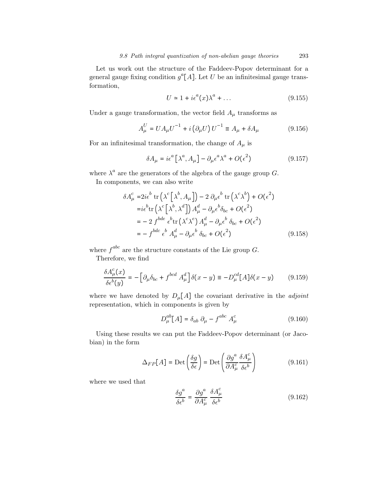Let us work out the structure of the Faddeev-Popov determinant for a general gauge fixing condition  $g^a[A]$ . Let U be an infinitesimal gauge transformation,

$$
U \simeq 1 + i\epsilon^a(x)\lambda^a + \dots \tag{9.155}
$$

Under a gauge transformation, the vector field  $A_\mu$  transforms as

$$
A_{\mu}^{U} = U A_{\mu} U^{-1} + i \left( \partial_{\mu} U \right) U^{-1} \equiv A_{\mu} + \delta A_{\mu}
$$
 (9.156)

For an infinitesimal transformation, the change of  $A_\mu$  is

$$
\delta A_{\mu} = i\epsilon^{a} \left[ \lambda^{a}, A_{\mu} \right] - \partial_{\mu} \epsilon^{a} \lambda^{a} + O(\epsilon^{2}) \tag{9.157}
$$

where  $\lambda^a$  are the generators of the algebra of the gauge group G.

In components, we can also write

$$
\delta A_{\mu}^{c} = 2i\epsilon^{b} \operatorname{tr}\left(\lambda^{c}\left[\lambda^{b}, A_{\mu}\right]\right) - 2 \partial_{\mu}\epsilon^{b} \operatorname{tr}\left(\lambda^{c}\lambda^{b}\right) + O(\epsilon^{2})
$$
\n
$$
= i\epsilon^{b} \operatorname{tr}\left(\lambda^{c}\left[\lambda^{b}, \lambda^{d}\right]\right) A_{\mu}^{d} - \partial_{\mu}\epsilon^{b} \delta_{bc} + O(\epsilon^{2})
$$
\n
$$
= -2 f^{bde} \epsilon^{b} \operatorname{tr}\left(\lambda^{c}\lambda^{e}\right) A_{\mu}^{d} - \partial_{\mu}\epsilon^{b} \delta_{bc} + O(\epsilon^{2})
$$
\n
$$
= - f^{bdc} \epsilon^{b} A_{\mu}^{d} - \partial_{\mu}\epsilon^{b} \delta_{bc} + O(\epsilon^{2}) \tag{9.158}
$$

where  $f^{abc}$  are the structure constants of the Lie group G.

Therefore, we find

$$
\frac{\delta A^c_\mu(x)}{\delta \epsilon^b(y)} = -\Big[\partial_\mu \delta_{bc} + f^{bcd} A^d_\mu\Big] \delta(x - y) \equiv -D^{cd}_\mu[A] \delta(x - y) \tag{9.159}
$$

where we have denoted by  $D_{\mu}[A]$  the covariant derivative in the *adjoint* representation, which in components is given by

$$
D_{\mu}^{ab}[A] = \delta_{ab} \partial_{\mu} - f^{abc} A_{\mu}^{c}
$$
 (9.160)

Using these results we can put the Faddeev-Popov determinant (or Jacobian) in the form

$$
\Delta_{FP}[A] = \text{Det}\left(\frac{\delta g}{\delta \epsilon}\right) = \text{Det}\left(\frac{\partial g^a}{\partial A^c_\mu} \frac{\delta A^c_\mu}{\delta \epsilon^b}\right) \tag{9.161}
$$

where we used that

$$
\frac{\delta g^a}{\delta \epsilon^b} = \frac{\partial g^a}{\partial A^c_\mu} \frac{\delta A^c_\mu}{\delta \epsilon^b}
$$
 (9.162)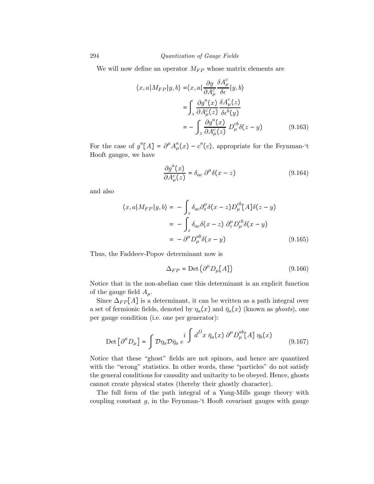We will now define an operator  $M_{FP}$  whose matrix elements are

$$
\langle x, a | M_{FP} | y, b \rangle = \langle x, a | \frac{\partial g}{\partial A^c_{\mu}} \frac{\delta A^c_{\mu}}{\delta \epsilon} | y, b \rangle
$$
  

$$
= \int_z \frac{\partial g^a(x)}{\partial A^c_{\mu}(z)} \frac{\delta A^c_{\mu}(z)}{\delta \epsilon^b(y)}
$$
  

$$
= - \int_z \frac{\partial g^a(x)}{\partial A^c_{\mu}(z)} D^c_{\mu} \delta(z - y) \qquad (9.163)
$$

For the case of  $g^a[A] = \partial^{\mu}A^a_{\mu}(x) - c^a(c)$ , appropriate for the Feynman-'t Hooft gauges, we have

$$
\frac{\partial g^a(x)}{\partial A^c_\mu(z)} = \delta_{ac} \partial^\mu \delta(x - z) \tag{9.164}
$$

and also

$$
\langle x, a | M_{FP} | y, b \rangle = - \int_z \delta_{ac} \partial_x^{\mu} \delta(x - z) D_{\mu}^{cb} [A] \delta(z - y)
$$
  

$$
= - \int_z \delta_{ac} \delta(x - z) \partial_z^{\mu} D_{\mu}^{cb} \delta(x - y)
$$
  

$$
= - \partial_{\mu}^{\mu} D_{\mu}^{ab} \delta(x - y) \qquad (9.165)
$$

Thus, the Faddeev-Popov determinant now is

$$
\Delta_{FP} = \text{Det}\left(\partial^{\mu} D_{\mu}[A]\right) \tag{9.166}
$$

Notice that in the non-abelian case this determinant is an explicit function of the gauge field  $A_\mu$ .

Since  $\Delta_{FP}[A]$  is a determinant, it can be written as a path integral over a set of fermionic fields, denoted by  $\eta_a(x)$  and  $\bar{\eta}_a(x)$  (known as ghosts), one per gauge condition (i.e. one per generator):

$$
\text{Det}\left[\partial^{\mu}D_{\mu}\right] = \int \mathcal{D}\eta_{a}\mathcal{D}\bar{\eta}_{a} e^{i \int d^{D}x \ \bar{\eta}_{a}(x) \ \partial^{\mu}D_{\mu}^{ab}[A] \ \eta_{b}(x)} \tag{9.167}
$$

Notice that these "ghost" fields are not spinors, and hence are quantized with the "wrong" statistics. In other words, these "particles" do not satisfy the general conditions for causality and unitarity to be obeyed. Hence, ghosts cannot create physical states (thereby their ghostly character).

The full form of the path integral of a Yang-Mills gauge theory with coupling constant  $g$ , in the Feynman-'t Hooft covariant gauges with gauge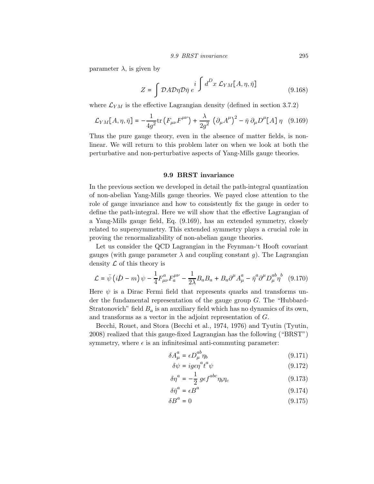parameter  $\lambda$ , is given by

$$
Z = \int \mathcal{D}A \mathcal{D}\eta \mathcal{D}\bar{\eta} e^{i \int d^D x \mathcal{L}_{YM}[A,\eta,\bar{\eta}]} \tag{9.168}
$$

where  $\mathcal{L}_{YM}$  is the effective Lagrangian density (defined in section 3.7.2)

$$
\mathcal{L}_{YM}[A,\eta,\bar{\eta}] = -\frac{1}{4g^2} \text{tr}\left(F_{\mu\nu}F^{\mu\nu}\right) + \frac{\lambda}{2g^2} \left(\partial_{\mu}A^{\mu}\right)^2 - \bar{\eta} \partial_{\mu}D^{\mu}[A] \eta \quad (9.169)
$$

Thus the pure gauge theory, even in the absence of matter fields, is nonlinear. We will return to this problem later on when we look at both the perturbative and non-perturbative aspects of Yang-Mills gauge theories.

## 9.9 BRST invariance

In the previous section we developed in detail the path-integral quantization of non-abelian Yang-Mills gauge theories. We payed close attention to the role of gauge invariance and how to consistently fix the gauge in order to define the path-integral. Here we will show that the effective Lagrangian of a Yang-Mills gauge field, Eq. (9.169), has an extended symmetry, closely related to supersymmetry. This extended symmetry plays a crucial role in proving the renormalizability of non-abelian gauge theories.

Let us consider the QCD Lagrangian in the Feynman-'t Hooft covariant gauges (with gauge parameter  $\lambda$  and coupling constant g). The Lagrangian density  $\mathcal L$  of this theory is

$$
\mathcal{L} = \bar{\psi} \left( i \mathcal{D} - m \right) \psi - \frac{1}{4} F_{\mu\nu}^a F_a^{\mu\nu} - \frac{1}{2\lambda} B_a B_a + B_a \partial^\mu A_\mu^a - \bar{\eta}^a \partial^\mu D_\mu^{ab} \eta^b \quad (9.170)
$$

Here  $\psi$  is a Dirac Fermi field that represents quarks and transforms under the fundamental representation of the gauge group  $G$ . The "Hubbard-Stratonovich" field  $B_a$  is an auxiliary field which has no dynamics of its own, and transforms as a vector in the adjoint representation of G.

Becchi, Rouet, and Stora (Becchi et al., 1974, 1976) and Tyutin (Tyutin, 2008) realized that this gauge-fixed Lagrangian has the following ("BRST") symmetry, where  $\epsilon$  is an infinitesimal anti-commuting parameter:

$$
\delta A^a_\mu = \epsilon D^{ab}_\mu \eta_b \tag{9.171}
$$

$$
\delta\psi = ig\epsilon\eta^a t^a \psi \tag{9.172}
$$

$$
\delta \eta^a = -\frac{1}{2} \, g \epsilon f^{abc} \eta_b \eta_c \tag{9.173}
$$

$$
\delta \bar{\eta}^a = \epsilon B^a \tag{9.174}
$$

$$
\delta B^a = 0 \tag{9.175}
$$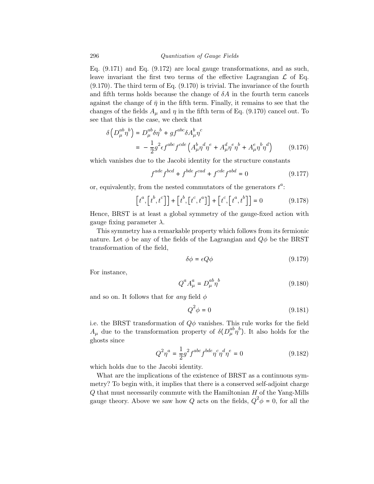Eq. (9.171) and Eq. (9.172) are local gauge transformations, and as such, leave invariant the first two terms of the effective Lagrangian  $\mathcal L$  of Eq. (9.170). The third term of Eq. (9.170) is trivial. The invariance of the fourth and fifth terms holds because the change of  $\delta A$  in the fourth term cancels against the change of  $\bar{\eta}$  in the fifth term. Finally, it remains to see that the changes of the fields  $A_{\mu}$  and  $\eta$  in the fifth term of Eq. (9.170) cancel out. To see that this is the case, we check that

$$
\delta \left( D_{\mu}^{ab} \eta^b \right) = D_{\mu}^{ab} \delta \eta^b + gf^{abc} \delta A_{\mu}^b \eta^c
$$
  
= 
$$
-\frac{1}{2} g^2 \epsilon f^{abc} f^{cde} \left( A_{\mu}^b \eta^d \eta^e + A_{\mu}^d \eta^e \eta^b + A_{\mu}^e \eta^b \eta^d \right)
$$
(9.176)

which vanishes due to the Jacobi identity for the structure constants

$$
f^{ade} f^{bcd} + f^{bde} f^{cad} + f^{cde} f^{abd} = 0
$$
 (9.177)

or, equivalently, from the nested commutators of the generators  $t^a$ :

$$
\left[t^{a},\left[t^{b},t^{c}\right]\right]+\left[t^{b},\left[t^{c},t^{a}\right]\right]+\left[t^{c},\left[t^{a},t^{b}\right]\right]=0
$$
\n(9.178)

Hence, BRST is at least a global symmetry of the gauge-fixed action with gauge fixing parameter  $\lambda$ .

This symmetry has a remarkable property which follows from its fermionic nature. Let  $\phi$  be any of the fields of the Lagrangian and  $Q\phi$  be the BRST transformation of the field,

$$
\delta \phi = \epsilon Q \phi \tag{9.179}
$$

For instance,

$$
Q^a A^a_\mu = D^{ab}_\mu \eta^b \tag{9.180}
$$

and so on. It follows that for any field  $\phi$ 

$$
Q^2 \phi = 0 \tag{9.181}
$$

i.e. the BRST transformation of  $Q\phi$  vanishes. This rule works for the field  $A_{\mu}$  due to the transformation property of  $\delta(D_{\mu}^{ab}\eta^{b})$ . It also holds for the ghosts since

$$
Q^2 \eta^a = \frac{1}{2} g^2 f^{abc} f^{bde} \eta^c \eta^d \eta^e = 0
$$
 (9.182)

which holds due to the Jacobi identity.

What are the implications of the existence of BRST as a continuous symmetry? To begin with, it implies that there is a conserved self-adjoint charge  $Q$  that must necessarily commute with the Hamiltonian  $H$  of the Yang-Mills gauge theory. Above we saw how Q acts on the fields,  $Q^2 \phi = 0$ , for all the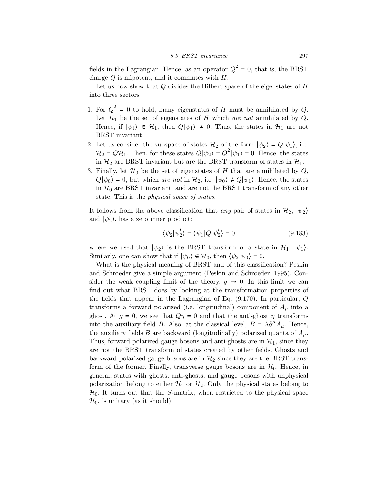fields in the Lagrangian. Hence, as an operator  $Q^2 = 0$ , that is, the BRST charge  $Q$  is nilpotent, and it commutes with  $H$ .

Let us now show that  $Q$  divides the Hilbert space of the eigenstates of  $H$ into three sectors

- 1. For  $Q^2 = 0$  to hold, many eigenstates of H must be annihilated by Q. Let  $\mathcal{H}_1$  be the set of eigenstates of H which are not annihilated by Q. Hence, if  $|\psi_1\rangle \in \mathcal{H}_1$ , then  $Q|\psi_1\rangle \neq 0$ . Thus, the states in  $\mathcal{H}_1$  are not BRST invariant.
- 2. Let us consider the subspace of states  $\mathcal{H}_2$  of the form  $|\psi_2\rangle = Q|\psi_1\rangle$ , i.e.  $\mathcal{H}_2 = Q\mathcal{H}_1$ . Then, for these states  $Q|\psi_2\rangle = Q^2|\psi_1\rangle = 0$ . Hence, the states in  $\mathcal{H}_2$  are BRST invariant but are the BRST transform of states in  $\mathcal{H}_1$ .
- 3. Finally, let  $\mathcal{H}_0$  be the set of eigenstates of H that are annihilated by  $Q$ ,  $Q|\psi_0\rangle = 0$ , but which are not in  $\mathcal{H}_2$ , i.e.  $|\psi_0\rangle \neq Q|\psi_1\rangle$ . Hence, the states in  $H_0$  are BRST invariant, and are not the BRST transform of any other state. This is the *physical space of states*.

It follows from the above classification that any pair of states in  $\mathcal{H}_2$ ,  $|\psi_2\rangle$ and  $|\psi'_2\rangle$ , has a zero inner product:

$$
\langle \psi_2 | \psi_2' \rangle = \langle \psi_1 | Q | \psi_2' \rangle = 0 \tag{9.183}
$$

where we used that  $|\psi_2\rangle$  is the BRST transform of a state in  $\mathcal{H}_1$ ,  $|\psi_1\rangle$ . Similarly, one can show that if  $|\psi_0\rangle \in \mathcal{H}_0$ , then  $\langle \psi_2 | \psi_0 \rangle = 0$ .

What is the physical meaning of BRST and of this classification? Peskin and Schroeder give a simple argument (Peskin and Schroeder, 1995). Consider the weak coupling limit of the theory,  $g \to 0$ . In this limit we can find out what BRST does by looking at the transformation properties of the fields that appear in the Lagrangian of Eq. (9.170). In particular, Q transforms a forward polarized (i.e. longitudinal) component of  $A_\mu$  into a ghost. At  $g = 0$ , we see that  $Q\eta = 0$  and that the anti-ghost  $\bar{\eta}$  transforms into the auxiliary field B. Also, at the classical level,  $B = \lambda \partial^{\mu} A_{\mu}$ . Hence, the auxiliary fields B are backward (longitudinally) polarized quanta of  $A_\mu$ . Thus, forward polarized gauge bosons and anti-ghosts are in  $\mathcal{H}_1$ , since they are not the BRST transform of states created by other fields. Ghosts and backward polarized gauge bosons are in  $\mathcal{H}_2$  since they are the BRST transform of the former. Finally, transverse gauge bosons are in  $\mathcal{H}_0$ . Hence, in general, states with ghosts, anti-ghosts, and gauge bosons with unphysical polarization belong to either  $\mathcal{H}_1$  or  $\mathcal{H}_2$ . Only the physical states belong to  $\mathcal{H}_0$ . It turns out that the S-matrix, when restricted to the physical space  $\mathcal{H}_0$ , is unitary (as it should).